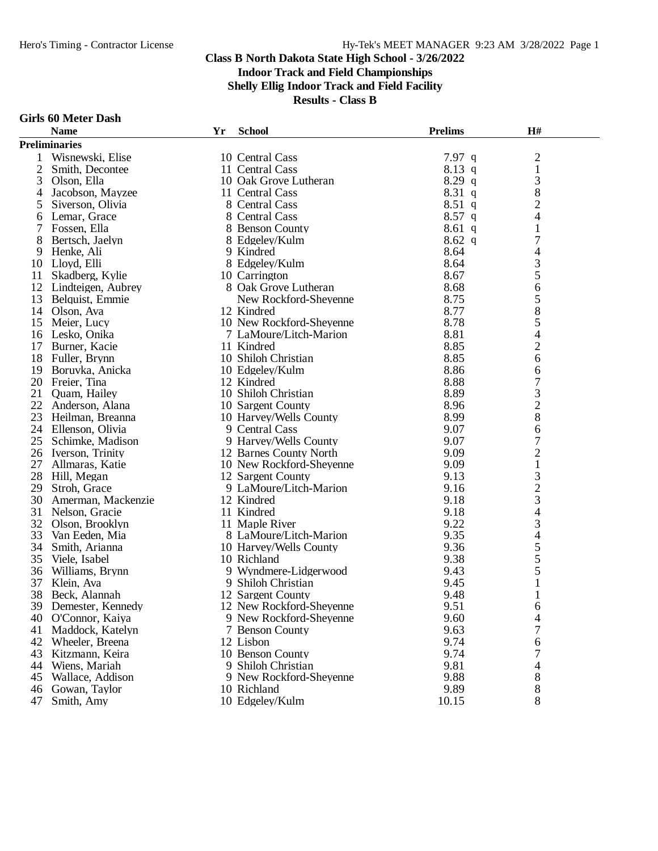**Shelly Ellig Indoor Track and Field Facility**

**Results - Class B**

#### **Girls 60 Meter Dash**

|                | <b>Name</b>          | Yr | <b>School</b>                | <b>Prelims</b> | H#                       |  |
|----------------|----------------------|----|------------------------------|----------------|--------------------------|--|
|                | <b>Preliminaries</b> |    |                              |                |                          |  |
|                | Wisnewski, Elise     |    | 10 Central Cass              | $7.97$ q       | $\overline{c}$           |  |
| $\overline{c}$ | Smith, Decontee      |    | 11 Central Cass              | 8.13 q         | $\,1$                    |  |
| 3              | Olson, Ella          |    | 10 Oak Grove Lutheran        | $8.29$ q       | $\mathfrak{Z}$           |  |
| 4              | Jacobson, Mayzee     |    | 11 Central Cass              | $8.31\ q$      | 8                        |  |
| 5              | Siverson, Olivia     |    | 8 Central Cass               | $8.51$ q       | $\overline{c}$           |  |
| 6              | Lemar, Grace         |    | 8 Central Cass               | $8.57$ q       | 4                        |  |
|                | Fossen, Ella         |    | 8 Benson County              | $8.61$ q       | 1                        |  |
| 8              | Bertsch, Jaelyn      |    | 8 Edgeley/Kulm               | $8.62\ q$      | $\boldsymbol{7}$         |  |
| 9              | Henke, Ali           |    | 9 Kindred                    | 8.64           | 4                        |  |
| 10             | Lloyd, Elli          |    | 8 Edgeley/Kulm               | 8.64           | 3                        |  |
| 11             | Skadberg, Kylie      |    | 10 Carrington                | 8.67           |                          |  |
| 12             | Lindteigen, Aubrey   |    | 8 Oak Grove Lutheran         | 8.68           | $\frac{5}{6}$            |  |
| 13             | Belquist, Emmie      |    | New Rockford-Sheyenne        | 8.75           | 5                        |  |
| 14             | Olson, Ava           |    | 12 Kindred                   | 8.77           | 8                        |  |
| 15             | Meier, Lucy          |    | 10 New Rockford-Sheyenne     | 8.78           | 5                        |  |
|                | 16 Lesko, Onika      |    | 7 LaMoure/Litch-Marion       | 8.81           | 4                        |  |
| 17             | Burner, Kacie        |    | 11 Kindred                   | 8.85           | $\overline{c}$           |  |
| 18             | Fuller, Brynn        |    | 10 Shiloh Christian          | 8.85           | 6                        |  |
| 19             | Boruvka, Anicka      |    | 10 Edgeley/Kulm              | 8.86           | 6                        |  |
|                | 20 Freier, Tina      |    | 12 Kindred                   | 8.88           | $\overline{7}$           |  |
| 21             | Quam, Hailey         |    | 10 Shiloh Christian          | 8.89           | 3                        |  |
| 22             | Anderson, Alana      |    | 10 Sargent County            | 8.96           | $\overline{c}$           |  |
| 23             | Heilman, Breanna     |    | 10 Harvey/Wells County       | 8.99           | 8                        |  |
|                | 24 Ellenson, Olivia  |    | 9 Central Cass               | 9.07           | 6                        |  |
| 25             | Schimke, Madison     |    | 9 Harvey/Wells County        | 9.07           | $\overline{7}$           |  |
|                | 26 Iverson, Trinity  |    | 12 Barnes County North       | 9.09           | $\overline{c}$           |  |
| 27             | Allmaras, Katie      |    | 10 New Rockford-Sheyenne     | 9.09           | $\mathbf 1$              |  |
| 28             | Hill, Megan          |    | 12 Sargent County            | 9.13           |                          |  |
| 29             | Stroh, Grace         |    | 9 LaMoure/Litch-Marion       | 9.16           | $\frac{3}{2}$            |  |
| 30             | Amerman, Mackenzie   |    | 12 Kindred                   | 9.18           | 3                        |  |
| 31             | Nelson, Gracie       |    | 11 Kindred                   | 9.18           | $\overline{\mathcal{L}}$ |  |
| 32             | Olson, Brooklyn      |    | 11 Maple River               | 9.22           | 3                        |  |
| 33             | Van Eeden, Mia       |    | 8 LaMoure/Litch-Marion       | 9.35           | $\overline{\mathcal{L}}$ |  |
| 34             | Smith, Arianna       |    | 10 Harvey/Wells County       | 9.36           | 5                        |  |
| 35             | Viele, Isabel        |    | 10 Richland                  | 9.38           | 5                        |  |
| 36             | Williams, Brynn      |    | 9 Wyndmere-Lidgerwood        | 9.43           | $\overline{5}$           |  |
| 37             | Klein, Ava           |    | 9 Shiloh Christian           | 9.45           | $\mathbf{1}$             |  |
| 38             | Beck, Alannah        |    | 12 Sargent County            | 9.48           | $\mathbf{1}$             |  |
|                | 39 Demester, Kennedy |    | 12 New Rockford-Sheyenne     | 9.51           | 6                        |  |
| 40             |                      |    | 9 New Rockford-Sheyenne      | 9.60           |                          |  |
|                | O'Connor, Kaiya      |    |                              | 9.63           | 4<br>7                   |  |
| 41             | Maddock, Katelyn     |    | 7 Benson County<br>12 Lisbon | 9.74           |                          |  |
| 42             | Wheeler, Breena      |    |                              |                | 6                        |  |
| 43<br>44       | Kitzmann, Keira      |    | 10 Benson County             | 9.74<br>9.81   | 7                        |  |
|                | Wiens, Mariah        |    | 9 Shiloh Christian           |                | 4                        |  |
| 45             | Wallace, Addison     |    | 9 New Rockford-Sheyenne      | 9.88           | 8                        |  |
| 46             | Gowan, Taylor        |    | 10 Richland                  | 9.89           | 8                        |  |
| 47             | Smith, Amy           |    | 10 Edgeley/Kulm              | 10.15          | 8                        |  |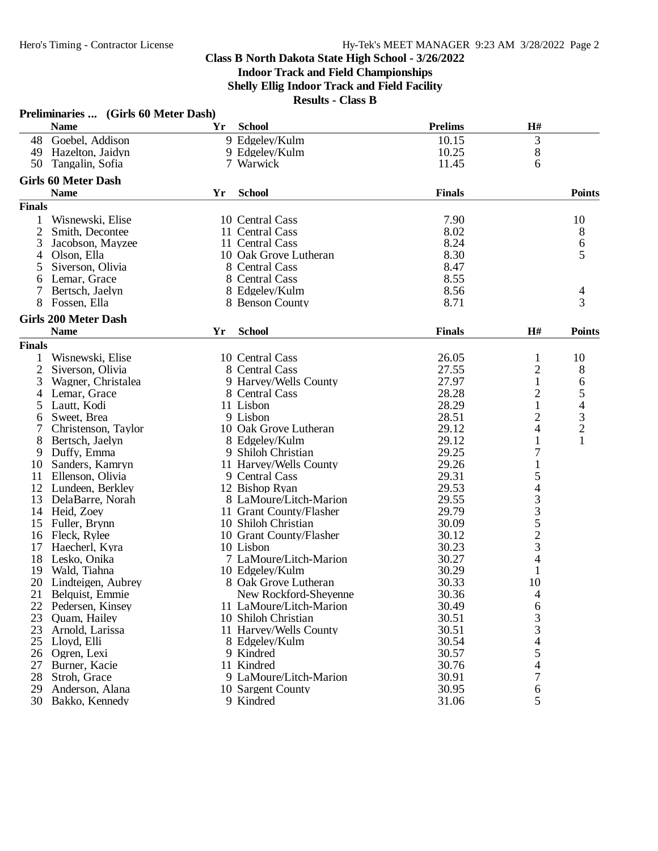|                | Preliminaries  (Girls 60 Meter Dash)<br><b>Name</b> | Yr | <b>School</b>           | <b>Prelims</b> | H#                       |                                            |
|----------------|-----------------------------------------------------|----|-------------------------|----------------|--------------------------|--------------------------------------------|
|                | 48 Goebel, Addison                                  |    | 9 Edgeley/Kulm          | 10.15          | 3                        |                                            |
|                | 49 Hazelton, Jaidyn                                 |    | 9 Edgeley/Kulm          | 10.25          | $8\,$                    |                                            |
| 50             | Tangalin, Sofia                                     |    | 7 Warwick               | 11.45          | 6                        |                                            |
|                |                                                     |    |                         |                |                          |                                            |
|                | <b>Girls 60 Meter Dash</b><br><b>Name</b>           | Yr | <b>School</b>           | <b>Finals</b>  |                          | <b>Points</b>                              |
| <b>Finals</b>  |                                                     |    |                         |                |                          |                                            |
| 1              | Wisnewski, Elise                                    |    | 10 Central Cass         | 7.90           |                          | 10                                         |
| $\overline{2}$ |                                                     |    | 11 Central Cass         | 8.02           |                          |                                            |
|                | Smith, Decontee                                     |    |                         |                |                          | 8                                          |
| 3              | Jacobson, Mayzee                                    |    | 11 Central Cass         | 8.24           |                          | $\begin{array}{c} 6 \\ 5 \end{array}$      |
| 4              | Olson, Ella                                         |    | 10 Oak Grove Lutheran   | 8.30           |                          |                                            |
| 5              | Siverson, Olivia                                    |    | 8 Central Cass          | 8.47           |                          |                                            |
| 6              | Lemar, Grace                                        |    | 8 Central Cass          | 8.55           |                          |                                            |
| 7              | Bertsch, Jaelyn                                     |    | 8 Edgeley/Kulm          | 8.56           |                          | 4                                          |
| 8              | Fossen, Ella                                        |    | 8 Benson County         | 8.71           |                          | 3                                          |
|                | <b>Girls 200 Meter Dash</b>                         |    |                         |                |                          |                                            |
|                | <b>Name</b>                                         | Yr | <b>School</b>           | <b>Finals</b>  | H#                       | <b>Points</b>                              |
| <b>Finals</b>  |                                                     |    |                         |                |                          |                                            |
| 1              | Wisnewski, Elise                                    |    | 10 Central Cass         | 26.05          | 1                        | 10                                         |
| 2              | Siverson, Olivia                                    |    | 8 Central Cass          | 27.55          | $\overline{c}$           | 8                                          |
| 3              | Wagner, Christalea                                  |    | 9 Harvey/Wells County   | 27.97          | $\mathbf{1}$             | 6                                          |
| 4              | Lemar, Grace                                        |    | 8 Central Cass          | 28.28          | $\overline{c}$           | 5                                          |
| 5              | Lautt, Kodi                                         |    | 11 Lisbon               | 28.29          | $\mathbf{1}$             |                                            |
| 6              | Sweet, Brea                                         |    | 9 Lisbon                | 28.51          | $\overline{c}$           | $\begin{array}{c} 4 \\ 3 \\ 2 \end{array}$ |
| 7              | Christenson, Taylor                                 |    | 10 Oak Grove Lutheran   | 29.12          | 4                        |                                            |
| 8              | Bertsch, Jaelyn                                     |    | 8 Edgeley/Kulm          | 29.12          | 1                        | $\mathbf{1}$                               |
| 9              | Duffy, Emma                                         |    | 9 Shiloh Christian      | 29.25          | 7                        |                                            |
| 10             | Sanders, Kamryn                                     |    | 11 Harvey/Wells County  | 29.26          | $\mathbf{1}$             |                                            |
| 11             | Ellenson, Olivia                                    |    | 9 Central Cass          | 29.31          | 5                        |                                            |
|                | 12 Lundeen, Berkley                                 |    | 12 Bishop Ryan          | 29.53          |                          |                                            |
| 13             | DelaBarre, Norah                                    |    | 8 LaMoure/Litch-Marion  | 29.55          |                          |                                            |
|                | 14 Heid, Zoey                                       |    | 11 Grant County/Flasher | 29.79          |                          |                                            |
| 15             | Fuller, Brynn                                       |    | 10 Shiloh Christian     | 30.09          |                          |                                            |
| 16             | Fleck, Rylee                                        |    | 10 Grant County/Flasher | 30.12          |                          |                                            |
| 17             | Haecherl, Kyra                                      |    | 10 Lisbon               | 30.23          | 433523                   |                                            |
| 18             |                                                     |    | 7 LaMoure/Litch-Marion  | 30.27          | 4                        |                                            |
|                | Lesko, Onika                                        |    | 10 Edgeley/Kulm         | 30.29          | $\mathbf{1}$             |                                            |
|                | 19 Wald, Tiahna                                     |    |                         |                | 10                       |                                            |
|                | 20 Lindteigen, Aubrey                               |    | 8 Oak Grove Lutheran    | 30.33          |                          |                                            |
| 21             | Belquist, Emmie                                     |    | New Rockford-Sheyenne   | 30.36          | 4                        |                                            |
|                | 22 Pedersen, Kinsey                                 |    | 11 LaMoure/Litch-Marion | 30.49          | 6                        |                                            |
| 23             | Quam, Hailey                                        |    | 10 Shiloh Christian     | 30.51          | 3                        |                                            |
| 23             | Arnold, Larissa                                     |    | 11 Harvey/Wells County  | 30.51          | 3                        |                                            |
|                | 25 Lloyd, Elli                                      |    | 8 Edgeley/Kulm          | 30.54          | $\overline{\mathcal{L}}$ |                                            |
| 26             | Ogren, Lexi                                         |    | 9 Kindred               | 30.57          | 5                        |                                            |
| 27             | Burner, Kacie                                       |    | 11 Kindred              | 30.76          | 4                        |                                            |
| 28             | Stroh, Grace                                        |    | 9 LaMoure/Litch-Marion  | 30.91          | 7                        |                                            |
| 29             | Anderson, Alana                                     |    | 10 Sargent County       | 30.95          | 6                        |                                            |
|                | 30 Bakko, Kennedy                                   |    | 9 Kindred               | 31.06          | 5                        |                                            |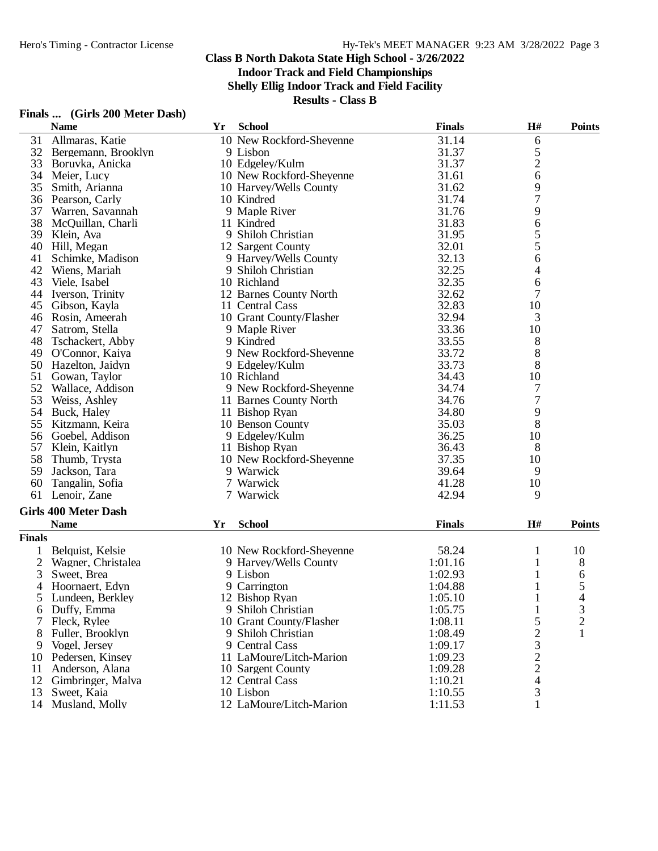**Indoor Track and Field Championships**

**Shelly Ellig Indoor Track and Field Facility**

|                | Finals  (Girls 200 Meter Dash)             |    |                          |               |                                                |                |
|----------------|--------------------------------------------|----|--------------------------|---------------|------------------------------------------------|----------------|
|                | <b>Name</b>                                | Yr | <b>School</b>            | <b>Finals</b> | H#                                             | <b>Points</b>  |
| 31             | Allmaras, Katie                            |    | 10 New Rockford-Sheyenne | 31.14         | 6                                              |                |
| 32             | Bergemann, Brooklyn                        |    | 9 Lisbon                 | 31.37         | 5                                              |                |
| 33             | Boruvka, Anicka                            |    | 10 Edgeley/Kulm          | 31.37         | $\overline{c}$                                 |                |
| 34             | Meier, Lucy                                |    | 10 New Rockford-Sheyenne | 31.61         | 6                                              |                |
| 35             | Smith, Arianna                             |    | 10 Harvey/Wells County   | 31.62         |                                                |                |
| 36             | Pearson, Carly                             |    | 10 Kindred               | 31.74         | 9<br>7                                         |                |
| 37             | Warren, Savannah                           |    | 9 Maple River            | 31.76         | 9                                              |                |
| 38             | McQuillan, Charli                          |    | 11 Kindred               | 31.83         | 6                                              |                |
| 39             | Klein, Ava                                 |    | 9 Shiloh Christian       | 31.95         | 5                                              |                |
| 40             | Hill, Megan                                |    | 12 Sargent County        | 32.01         | 5                                              |                |
| 41             | Schimke, Madison                           |    | 9 Harvey/Wells County    | 32.13         | 6                                              |                |
| 42             | Wiens, Mariah                              |    | 9 Shiloh Christian       | 32.25         | 4                                              |                |
| 43             | Viele, Isabel                              |    | 10 Richland              | 32.35         | 6                                              |                |
| 44             | Iverson, Trinity                           |    | 12 Barnes County North   | 32.62         | 7                                              |                |
| 45             | Gibson, Kayla                              |    | 11 Central Cass          | 32.83         | 10                                             |                |
| 46             | Rosin, Ameerah                             |    | 10 Grant County/Flasher  | 32.94         | 3                                              |                |
| 47             | Satrom, Stella                             |    | 9 Maple River            | 33.36         | 10                                             |                |
| 48             | Tschackert, Abby                           |    | 9 Kindred                | 33.55         | 8                                              |                |
| 49             | O'Connor, Kaiya                            |    | 9 New Rockford-Sheyenne  | 33.72         | 8                                              |                |
| 50             | Hazelton, Jaidyn                           |    | 9 Edgeley/Kulm           | 33.73         | 8                                              |                |
| 51             | Gowan, Taylor                              |    | 10 Richland              | 34.43         | 10                                             |                |
| 52             | Wallace, Addison                           |    | 9 New Rockford-Sheyenne  | 34.74         | 7                                              |                |
| 53             | Weiss, Ashley                              |    | 11 Barnes County North   | 34.76         | 7                                              |                |
| 54             | Buck, Haley                                |    | 11 Bishop Ryan           | 34.80         | 9                                              |                |
| 55             | Kitzmann, Keira                            |    | 10 Benson County         | 35.03         | 8                                              |                |
| 56             | Goebel, Addison                            |    | 9 Edgeley/Kulm           | 36.25         | 10                                             |                |
| 57             | Klein, Kaitlyn                             |    | 11 Bishop Ryan           | 36.43         | 8                                              |                |
| 58             | Thumb, Trysta                              |    | 10 New Rockford-Sheyenne | 37.35         | 10                                             |                |
| 59             | Jackson, Tara                              |    | 9 Warwick                | 39.64         | 9                                              |                |
| 60             | Tangalin, Sofia                            |    | 7 Warwick                | 41.28         | 10                                             |                |
| 61             | Lenoir, Zane                               |    | 7 Warwick                | 42.94         | 9                                              |                |
|                |                                            |    |                          |               |                                                |                |
|                | <b>Girls 400 Meter Dash</b><br><b>Name</b> |    | <b>School</b>            | <b>Finals</b> | H#                                             | <b>Points</b>  |
| <b>Finals</b>  |                                            | Yr |                          |               |                                                |                |
|                |                                            |    |                          |               |                                                |                |
|                | Belquist, Kelsie                           |    | 10 New Rockford-Sheyenne | 58.24         | 1                                              | 10             |
| $\overline{2}$ | Wagner, Christalea                         |    | 9 Harvey/Wells County    | 1:01.16       |                                                | 8              |
| 3              | Sweet, Brea                                |    | 9 Lisbon                 | 1:02.93       |                                                | 6              |
| 4              | Hoornaert, Edyn                            |    | 9 Carrington             | 1:04.88       |                                                | 5              |
| 5              | Lundeen, Berkley                           |    | 12 Bishop Ryan           | 1:05.10       |                                                | 4              |
| 6              | Duffy, Emma                                |    | 9 Shiloh Christian       | 1:05.75       |                                                | 3              |
| 7              | Fleck, Rylee                               |    | 10 Grant County/Flasher  | 1:08.11       | 5                                              | $\overline{c}$ |
| 8              | Fuller, Brooklyn                           |    | 9 Shiloh Christian       | 1:08.49       |                                                | 1              |
| 9              | Vogel, Jersey                              |    | 9 Central Cass           | 1:09.17       |                                                |                |
| 10             | Pedersen, Kinsey                           |    | 11 LaMoure/Litch-Marion  | 1:09.23       |                                                |                |
| 11             | Anderson, Alana                            |    | 10 Sargent County        | 1:09.28       | $\begin{array}{c}\n23 \\ 22 \\ 4\n\end{array}$ |                |
| 12             | Gimbringer, Malva                          |    | 12 Central Cass          | 1:10.21       |                                                |                |
| 13             | Sweet, Kaia                                |    | 10 Lisbon                | 1:10.55       | 3                                              |                |
|                | 14 Musland, Molly                          |    | 12 LaMoure/Litch-Marion  | 1:11.53       |                                                |                |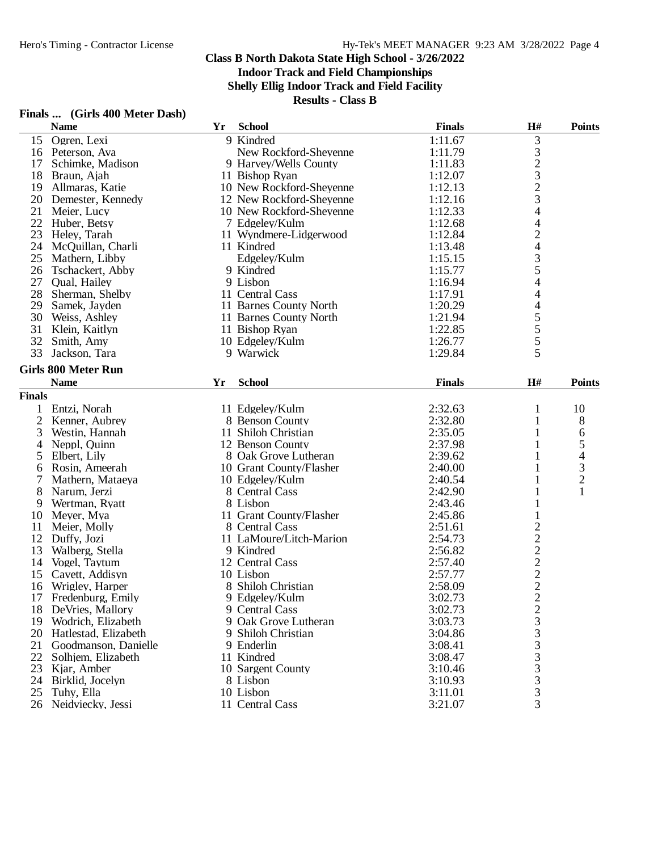**Shelly Ellig Indoor Track and Field Facility**

|                | Finals  (Girls 400 Meter Dash) |    |                          |               |                                                      |                                            |
|----------------|--------------------------------|----|--------------------------|---------------|------------------------------------------------------|--------------------------------------------|
|                | <b>Name</b>                    | Yr | <b>School</b>            | <b>Finals</b> | H#                                                   | <b>Points</b>                              |
| 15             | Ogren, Lexi                    |    | 9 Kindred                | 1:11.67       | $\mathfrak{Z}$                                       |                                            |
| 16             | Peterson, Ava                  |    | New Rockford-Sheyenne    | 1:11.79       |                                                      |                                            |
| 17             | Schimke, Madison               |    | 9 Harvey/Wells County    | 1:11.83       | $\begin{array}{c} 3 \\ 2 \\ 3 \\ 2 \\ 3 \end{array}$ |                                            |
| 18             | Braun, Ajah                    |    | 11 Bishop Ryan           | 1:12.07       |                                                      |                                            |
| 19             | Allmaras, Katie                |    | 10 New Rockford-Sheyenne | 1:12.13       |                                                      |                                            |
| 20             | Demester, Kennedy              |    | 12 New Rockford-Sheyenne | 1:12.16       |                                                      |                                            |
| 21             | Meier, Lucy                    |    | 10 New Rockford-Sheyenne | 1:12.33       | $\overline{\mathcal{A}}$                             |                                            |
| 22             | Huber, Betsy                   |    | 7 Edgeley/Kulm           | 1:12.68       | 4                                                    |                                            |
| 23             | Heley, Tarah                   |    | 11 Wyndmere-Lidgerwood   | 1:12.84       | $\overline{c}$                                       |                                            |
|                | 24 McQuillan, Charli           |    | 11 Kindred               | 1:13.48       | 4                                                    |                                            |
| 25             | Mathern, Libby                 |    | Edgeley/Kulm             | 1:15.15       |                                                      |                                            |
| 26             | Tschackert, Abby               |    | 9 Kindred                | 1:15.77       | $\frac{3}{5}$                                        |                                            |
| 27             | Qual, Hailey                   |    | 9 Lisbon                 | 1:16.94       | $\overline{\mathcal{L}}$                             |                                            |
| 28             | Sherman, Shelby                |    | 11 Central Cass          | 1:17.91       | 4                                                    |                                            |
| 29             | Samek, Jayden                  |    | 11 Barnes County North   | 1:20.29       | $\overline{\mathcal{L}}$                             |                                            |
| 30             | Weiss, Ashley                  |    | 11 Barnes County North   | 1:21.94       |                                                      |                                            |
| 31             | Klein, Kaitlyn                 |    | 11 Bishop Ryan           | 1:22.85       |                                                      |                                            |
| 32             | Smith, Amy                     |    | 10 Edgeley/Kulm          | 1:26.77       | $\frac{5}{5}$                                        |                                            |
| 33             | Jackson, Tara                  |    | 9 Warwick                | 1:29.84       | 5                                                    |                                            |
|                |                                |    |                          |               |                                                      |                                            |
|                | <b>Girls 800 Meter Run</b>     |    |                          |               |                                                      |                                            |
|                | <b>Name</b>                    | Yr | <b>School</b>            | <b>Finals</b> | H#                                                   | <b>Points</b>                              |
| <b>Finals</b>  |                                |    |                          |               |                                                      |                                            |
| 1              | Entzi, Norah                   |    | 11 Edgeley/Kulm          | 2:32.63       | 1                                                    | 10                                         |
| $\overline{2}$ | Kenner, Aubrey                 |    | 8 Benson County          | 2:32.80       | 1                                                    | 8                                          |
| 3              | Westin, Hannah                 |    | 11 Shiloh Christian      | 2:35.05       |                                                      | 6                                          |
| 4              | Neppl, Quinn                   |    | 12 Benson County         | 2:37.98       | 1                                                    | 5                                          |
| 5              | Elbert, Lily                   |    | 8 Oak Grove Lutheran     | 2:39.62       | 1                                                    |                                            |
| 6              | Rosin, Ameerah                 |    | 10 Grant County/Flasher  | 2:40.00       | 1                                                    | $\begin{array}{c} 4 \\ 3 \\ 2 \end{array}$ |
| 7              | Mathern, Mataeya               |    | 10 Edgeley/Kulm          | 2:40.54       | 1                                                    |                                            |
| 8              | Narum, Jerzi                   |    | 8 Central Cass           | 2:42.90       |                                                      |                                            |
| 9              | Wertman, Ryatt                 |    | 8 Lisbon                 | 2:43.46       |                                                      |                                            |
| 10             | Meyer, Mya                     |    | 11 Grant County/Flasher  | 2:45.86       | $\mathbf{1}$                                         |                                            |
| 11             | Meier, Molly                   |    | 8 Central Cass           | 2:51.61       |                                                      |                                            |
| 12             | Duffy, Jozi                    |    | 11 LaMoure/Litch-Marion  | 2:54.73       |                                                      |                                            |
| 13             | Walberg, Stella                |    | 9 Kindred                | 2:56.82       | $\frac{2}{2}$ $\frac{2}{2}$                          |                                            |
| 14             | Vogel, Taytum                  |    | 12 Central Cass          | 2:57.40       |                                                      |                                            |
| 15             | Cavett, Addisyn                |    | 10 Lisbon                | 2:57.77       |                                                      |                                            |
|                | 16 Wrigley, Harper             |    | 8 Shiloh Christian       | 2:58.09       | $\mathfrak{D}$                                       |                                            |
| 17             | Fredenburg, Emily              |    | 9 Edgeley/Kulm           | 3:02.73       |                                                      |                                            |
| 18             | DeVries, Mallory               |    | 9 Central Cass           | 3:02.73       | $\frac{2}{3}$                                        |                                            |
| 19             | Wodrich, Elizabeth             |    | 9 Oak Grove Lutheran     | 3:03.73       |                                                      |                                            |
| 20             | Hatlestad, Elizabeth           |    | 9 Shiloh Christian       | 3:04.86       |                                                      |                                            |
| 21             | Goodmanson, Danielle           |    | 9 Enderlin               | 3:08.41       |                                                      |                                            |
| 22             | Solhjem, Elizabeth             |    | 11 Kindred               | 3:08.47       | $\frac{3}{3}$                                        |                                            |
| 23             | Kjar, Amber                    |    | 10 Sargent County        | 3:10.46       | 3                                                    |                                            |
| 24             | Birklid, Jocelyn               |    | 8 Lisbon                 | 3:10.93       | 3                                                    |                                            |
| 25             | Tuhy, Ella                     |    | 10 Lisbon                | 3:11.01       | $\mathfrak{Z}$                                       |                                            |
|                | 26 Neidviecky, Jessi           |    | 11 Central Cass          | 3:21.07       | 3                                                    |                                            |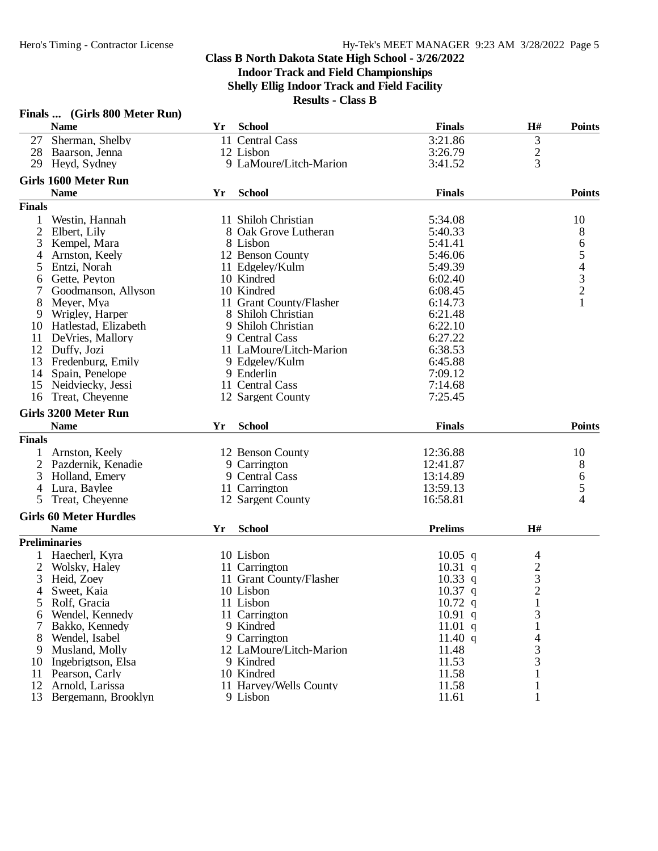|               | Finals  (Girls 800 Meter Run) |    |                         |                |                |                                       |
|---------------|-------------------------------|----|-------------------------|----------------|----------------|---------------------------------------|
|               | <b>Name</b>                   | Yr | <b>School</b>           | <b>Finals</b>  | H#             | <b>Points</b>                         |
| 27            | Sherman, Shelby               |    | 11 Central Cass         | 3:21.86        |                |                                       |
| 28            | Baarson, Jenna                |    | 12 Lisbon               | 3:26.79        | $\frac{3}{2}$  |                                       |
| 29            | Heyd, Sydney                  |    | 9 LaMoure/Litch-Marion  | 3:41.52        |                |                                       |
|               | <b>Girls 1600 Meter Run</b>   |    |                         |                |                |                                       |
|               | <b>Name</b>                   | Yr | <b>School</b>           | <b>Finals</b>  |                | <b>Points</b>                         |
| <b>Finals</b> |                               |    |                         |                |                |                                       |
| 1             | Westin, Hannah                |    | 11 Shiloh Christian     | 5:34.08        |                | 10                                    |
|               | Elbert, Lily                  |    | 8 Oak Grove Lutheran    | 5:40.33        |                | 8                                     |
| 3             | Kempel, Mara                  |    | 8 Lisbon                | 5:41.41        |                |                                       |
| 4             | Arnston, Keely                |    | 12 Benson County        | 5:46.06        |                |                                       |
| 5             | Entzi, Norah                  |    | 11 Edgeley/Kulm         | 5:49.39        |                |                                       |
| 6             | Gette, Peyton                 |    | 10 Kindred              | 6:02.40        |                |                                       |
| 7             | Goodmanson, Allyson           |    | 10 Kindred              | 6:08.45        |                | 654321                                |
| 8             | Meyer, Mya                    |    | 11 Grant County/Flasher | 6:14.73        |                |                                       |
| 9             | Wrigley, Harper               |    | 8 Shiloh Christian      | 6:21.48        |                |                                       |
| 10            | Hatlestad, Elizabeth          |    | 9 Shiloh Christian      | 6:22.10        |                |                                       |
| 11            | DeVries, Mallory              |    | 9 Central Cass          | 6:27.22        |                |                                       |
|               | 12 Duffy, Jozi                |    | 11 LaMoure/Litch-Marion | 6:38.53        |                |                                       |
| 13            | Fredenburg, Emily             |    | 9 Edgelev/Kulm          | 6:45.88        |                |                                       |
| 14            | Spain, Penelope               |    | 9 Enderlin              | 7:09.12        |                |                                       |
| 15            | Neidviecky, Jessi             |    | 11 Central Cass         | 7:14.68        |                |                                       |
| 16            | Treat, Cheyenne               |    | 12 Sargent County       | 7:25.45        |                |                                       |
|               |                               |    |                         |                |                |                                       |
|               | Girls 3200 Meter Run          |    |                         |                |                |                                       |
|               | <b>Name</b>                   | Yr | <b>School</b>           | <b>Finals</b>  |                | <b>Points</b>                         |
| <b>Finals</b> |                               |    |                         |                |                |                                       |
| 1             | Arnston, Keely                |    | 12 Benson County        | 12:36.88       |                | 10                                    |
|               | 2 Pazdernik, Kenadie          |    | 9 Carrington            | 12:41.87       |                | 8                                     |
| 3             | Holland, Emery                |    | 9 Central Cass          | 13:14.89       |                | $\begin{array}{c} 6 \\ 5 \end{array}$ |
| 4             | Lura, Baylee                  |    | 11 Carrington           | 13:59.13       |                |                                       |
| 5             | Treat, Cheyenne               |    | 12 Sargent County       | 16:58.81       |                | $\overline{4}$                        |
|               | <b>Girls 60 Meter Hurdles</b> |    |                         |                |                |                                       |
|               | <b>Name</b>                   | Yr | <b>School</b>           | <b>Prelims</b> | H#             |                                       |
|               | <b>Preliminaries</b>          |    |                         |                |                |                                       |
|               | 1 Haecherl, Kyra              |    | 10 Lisbon               | $10.05$ q      | 4              |                                       |
| 2             | Wolsky, Haley                 |    | 11 Carrington           | $10.31$ q      |                |                                       |
| 3             | Heid, Zoey                    |    | 11 Grant County/Flasher | $10.33$ q      | $\frac{2}{3}$  |                                       |
| 4             | Sweet, Kaia                   |    | 10 Lisbon               | $10.37$ q      | $\overline{c}$ |                                       |
| 5             | Rolf, Gracia                  |    | 11 Lisbon               | $10.72$ q      | $\mathbf{1}$   |                                       |
| 6             | Wendel, Kennedy               |    | 11 Carrington           | $10.91$ q      | 3              |                                       |
| 7             | Bakko, Kennedy                |    | 9 Kindred               | $11.01$ q      | 1              |                                       |
| 8             | Wendel, Isabel                |    | 9 Carrington            | 11.40 $q$      | $\overline{4}$ |                                       |
| 9             | Musland, Molly                |    | 12 LaMoure/Litch-Marion | 11.48          | 3              |                                       |
| 10            | Ingebrigtson, Elsa            |    | 9 Kindred               | 11.53          | 3              |                                       |
| 11            | Pearson, Carly                |    | 10 Kindred              | 11.58          | 1              |                                       |
| 12            | Arnold, Larissa               |    | 11 Harvey/Wells County  | 11.58          | $\mathbf{1}$   |                                       |
|               | 13 Bergemann, Brooklyn        |    | 9 Lisbon                | 11.61          | 1              |                                       |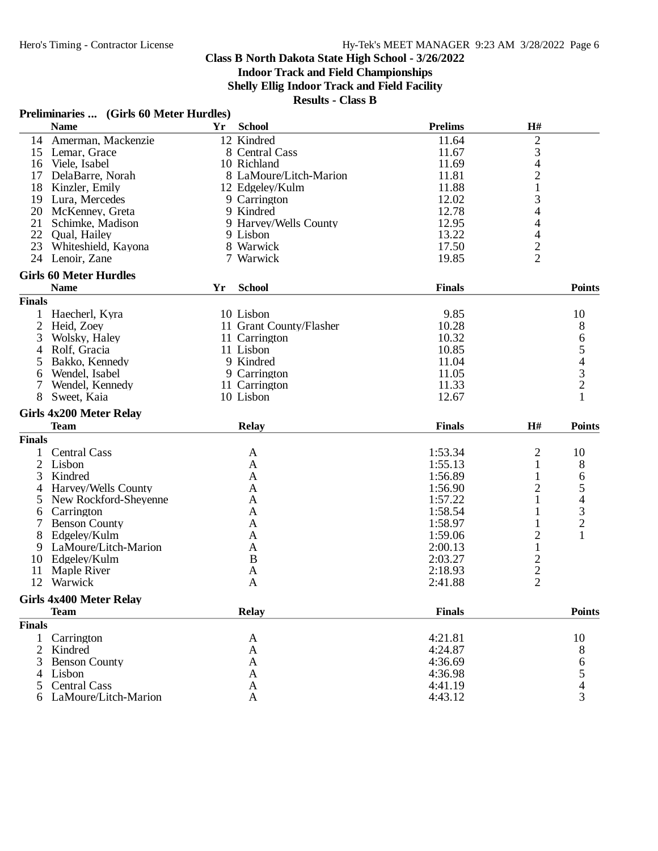## **Indoor Track and Field Championships**

**Shelly Ellig Indoor Track and Field Facility**

**Results - Class B**

## **Preliminaries ... (Girls 60 Meter Hurdles)**

|                | <b>Name</b>                                   | <b>Yr</b> | <b>School</b>           | <b>Prelims</b>     | H#             |                                            |
|----------------|-----------------------------------------------|-----------|-------------------------|--------------------|----------------|--------------------------------------------|
|                | 14 Amerman, Mackenzie                         |           | 12 Kindred              | 11.64              | $\mathbf{2}$   |                                            |
|                | 15 Lemar, Grace                               |           | 8 Central Cass          | 11.67              | 3              |                                            |
|                | 16 Viele, Isabel                              |           | 10 Richland             | 11.69              | 4              |                                            |
| 17             | DelaBarre, Norah                              |           | 8 LaMoure/Litch-Marion  | 11.81              | $\overline{c}$ |                                            |
| 18             | Kinzler, Emily                                |           | 12 Edgelev/Kulm         | 11.88              | $\mathbf{1}$   |                                            |
| 19             | Lura, Mercedes                                |           | 9 Carrington            | 12.02              | 3              |                                            |
|                | 20 McKenney, Greta                            |           | 9 Kindred               | 12.78              | 4              |                                            |
| 21             | Schimke, Madison                              |           | 9 Harvey/Wells County   | 12.95              | 4              |                                            |
| 22             | Qual, Hailey                                  |           | 9 Lisbon                | 13.22              | 4              |                                            |
| 23             | Whiteshield, Kayona                           |           | 8 Warwick               | 17.50              |                |                                            |
|                | 24 Lenoir, Zane                               |           | 7 Warwick               | 19.85              | $\frac{2}{2}$  |                                            |
|                |                                               |           |                         |                    |                |                                            |
|                | <b>Girls 60 Meter Hurdles</b>                 |           |                         |                    |                |                                            |
|                | <b>Name</b>                                   | Yr        | <b>School</b>           | <b>Finals</b>      |                | <b>Points</b>                              |
| <b>Finals</b>  |                                               |           |                         |                    |                |                                            |
|                | Haecherl, Kyra                                |           | 10 Lisbon               | 9.85               |                | 10                                         |
| $\overline{c}$ | Heid, Zoey                                    |           | 11 Grant County/Flasher | 10.28              |                | 8                                          |
| 3              | Wolsky, Haley                                 |           | 11 Carrington           | 10.32              |                |                                            |
| 4              | Rolf, Gracia                                  |           | 11 Lisbon               | 10.85              |                | 65432                                      |
| 5              | Bakko, Kennedy                                |           | 9 Kindred               | 11.04              |                |                                            |
| 6              | Wendel, Isabel                                |           | 9 Carrington            | 11.05              |                |                                            |
| 7              | Wendel, Kennedy                               |           | 11 Carrington           | 11.33              |                |                                            |
| 8              | Sweet, Kaia                                   |           | 10 Lisbon               | 12.67              |                | $\mathbf{1}$                               |
|                |                                               |           |                         |                    |                |                                            |
|                | <b>Girls 4x200 Meter Relay</b>                |           |                         |                    |                |                                            |
|                | <b>Team</b>                                   |           | <b>Relay</b>            | <b>Finals</b>      | H#             | <b>Points</b>                              |
| <b>Finals</b>  |                                               |           |                         |                    |                |                                            |
|                | <b>Central Cass</b>                           |           | A                       | 1:53.34            | 2              | 10                                         |
| 2              | Lisbon                                        |           | A                       | 1:55.13            |                | 8                                          |
|                |                                               |           |                         |                    | 1              |                                            |
| 3              | Kindred                                       |           | A                       | 1:56.89            | 1              |                                            |
| 4              |                                               |           | A                       |                    |                | 6                                          |
|                | Harvey/Wells County                           |           |                         | 1:56.90            | 2              | 5                                          |
| 5              | New Rockford-Sheyenne                         |           | A                       | 1:57.22            | 1              |                                            |
| 6              | Carrington                                    |           | A                       | 1:58.54            |                |                                            |
| 7              | <b>Benson County</b>                          |           | A                       | 1:58.97            |                | $\begin{array}{c} 4 \\ 3 \\ 2 \end{array}$ |
| 8              | Edgeley/Kulm                                  |           | A                       | 1:59.06            | $\overline{c}$ | 1                                          |
| 9              | LaMoure/Litch-Marion                          |           | A                       | 2:00.13            | $\mathbf{1}$   |                                            |
| 10             | Edgeley/Kulm                                  |           | B                       | 2:03.27            |                |                                            |
| 11             | Maple River                                   |           | A                       | 2:18.93            |                |                                            |
| 12             | Warwick                                       |           | A                       | 2:41.88            | $\frac{2}{2}$  |                                            |
|                | <b>Girls 4x400 Meter Relay</b>                |           |                         |                    |                |                                            |
|                | <b>Team</b>                                   |           | <b>Relay</b>            | <b>Finals</b>      |                | <b>Points</b>                              |
| <b>Finals</b>  |                                               |           |                         |                    |                |                                            |
|                |                                               |           |                         |                    |                |                                            |
| 2              | Carrington                                    |           | A                       | 4:21.81            |                | 10                                         |
|                | Kindred                                       |           | A                       | 4:24.87            |                | 8                                          |
| 3              | <b>Benson County</b>                          |           | A                       | 4:36.69            |                | 6                                          |
|                | 4 Lisbon                                      |           | A                       | 4:36.98            |                |                                            |
| 5              | <b>Central Cass</b><br>6 LaMoure/Litch-Marion |           | A<br>A                  | 4:41.19<br>4:43.12 |                | $\frac{5}{4}$<br>3                         |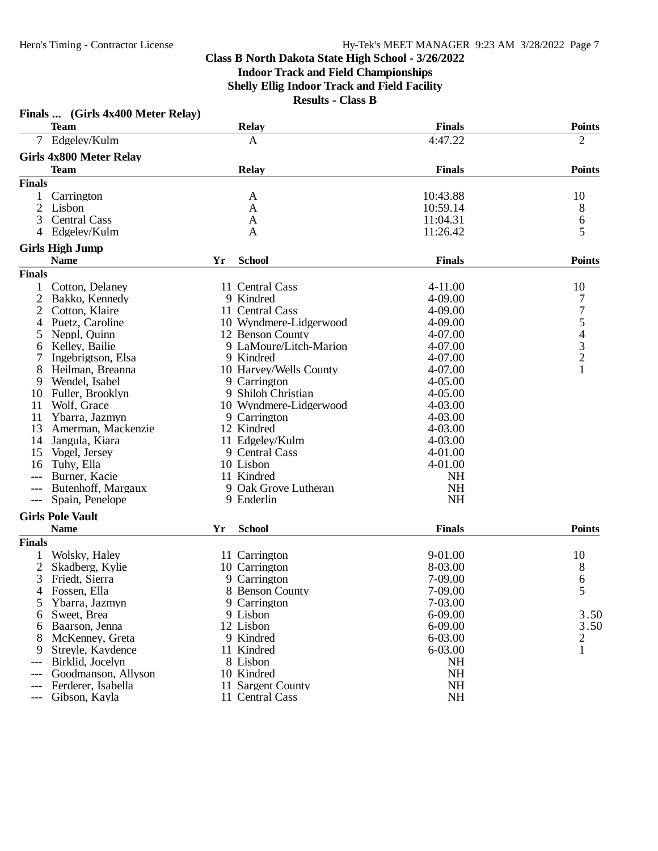|                | Finals  (Girls 4x400 Meter Relay) |    |                        |               |                |
|----------------|-----------------------------------|----|------------------------|---------------|----------------|
|                | <b>Team</b>                       |    | <b>Relay</b>           | <b>Finals</b> | <b>Points</b>  |
| $7^{\circ}$    | Edgeley/Kulm                      |    | $\mathbf{A}$           | 4:47.22       | $\overline{2}$ |
|                | <b>Girls 4x800 Meter Relay</b>    |    |                        |               |                |
|                | <b>Team</b>                       |    | <b>Relay</b>           | <b>Finals</b> | <b>Points</b>  |
| <b>Finals</b>  |                                   |    |                        |               |                |
|                | Carrington                        |    | A                      | 10:43.88      | 10             |
| $\overline{2}$ | Lisbon                            |    | A                      | 10:59.14      | 8              |
| 3              | <b>Central Cass</b>               |    | A                      | 11:04.31      | 6              |
|                | 4 Edgeley/Kulm                    |    | A                      | 11:26.42      | 5              |
|                | <b>Girls High Jump</b>            |    |                        |               |                |
|                | <b>Name</b>                       | Yr | <b>School</b>          | <b>Finals</b> | <b>Points</b>  |
| <b>Finals</b>  |                                   |    |                        |               |                |
|                | Cotton, Delaney                   |    | 11 Central Cass        | 4-11.00       | 10             |
| 2              | Bakko, Kennedy                    |    | 9 Kindred              | 4-09.00       | 7              |
| 2              | Cotton, Klaire                    |    | 11 Central Cass        | 4-09.00       |                |
| 4              | Puetz, Caroline                   |    | 10 Wyndmere-Lidgerwood | 4-09.00       | 75432          |
| 5              | Neppl, Quinn                      |    | 12 Benson County       | 4-07.00       |                |
| 6              | Kelley, Bailie                    |    | 9 LaMoure/Litch-Marion | 4-07.00       |                |
|                | Ingebrigtson, Elsa                |    | 9 Kindred              | 4-07.00       |                |
| 8              | Heilman, Breanna                  |    | 10 Harvey/Wells County | 4-07.00       | $\mathbf{1}$   |
| 9              | Wendel, Isabel                    |    | 9 Carrington           | $4 - 05.00$   |                |
| 10             | Fuller, Brooklyn                  |    | 9 Shiloh Christian     | $4 - 05.00$   |                |
| 11             | Wolf, Grace                       |    | 10 Wyndmere-Lidgerwood | $4 - 03.00$   |                |
| 11             | Ybarra, Jazmyn                    |    | 9 Carrington           | 4-03.00       |                |
| 13             | Amerman, Mackenzie                |    | 12 Kindred             | 4-03.00       |                |
| 14             | Jangula, Kiara                    |    | 11 Edgeley/Kulm        | 4-03.00       |                |
| 15             | Vogel, Jersey                     |    | 9 Central Cass         | $4 - 01.00$   |                |
| 16             | Tuhy, Ella                        |    | 10 Lisbon              | 4-01.00       |                |
| $---$          | Burner, Kacie                     |    | 11 Kindred             | <b>NH</b>     |                |
|                | Butenhoff, Margaux                |    | 9 Oak Grove Lutheran   | <b>NH</b>     |                |
| $---$          | Spain, Penelope                   |    | 9 Enderlin             | <b>NH</b>     |                |
|                |                                   |    |                        |               |                |
|                | <b>Girls Pole Vault</b>           |    |                        |               |                |
|                | <b>Name</b>                       | Yr | <b>School</b>          | <b>Finals</b> | <b>Points</b>  |
| <b>Finals</b>  |                                   |    |                        |               |                |
|                | Wolsky, Haley                     |    | 11 Carrington          | 9-01.00       | 10             |
| 2              | Skadberg, Kylie                   |    | 10 Carrington          | 8-03.00       | 8              |
| 3              | Friedt, Sierra                    |    | 9 Carrington           | 7-09.00       | 6              |
| 4              | Fossen, Ella                      |    | 8 Benson County        | 7-09.00       | 5              |
| 5              | Ybarra, Jazmyn                    |    | 9 Carrington           | 7-03.00       |                |
| 6              | Sweet, Brea                       |    | 9 Lisbon               | $6 - 09.00$   | 3.50           |
| 6              | Baarson, Jenna                    |    | 12 Lisbon              | $6 - 09.00$   | 3.50           |
| 8              | McKenney, Greta                   |    | 9 Kindred              | 6-03.00       | $\overline{2}$ |
| 9              | Streyle, Kaydence                 |    | 11 Kindred             | 6-03.00       | $\mathbf{1}$   |
| $---$          | Birklid, Jocelyn                  |    | 8 Lisbon               | <b>NH</b>     |                |
|                | Goodmanson, Allyson               |    | 10 Kindred             | <b>NH</b>     |                |
|                | Ferderer, Isabella                |    | 11 Sargent County      | NH            |                |
|                | Gibson, Kayla                     |    | 11 Central Cass        | <b>NH</b>     |                |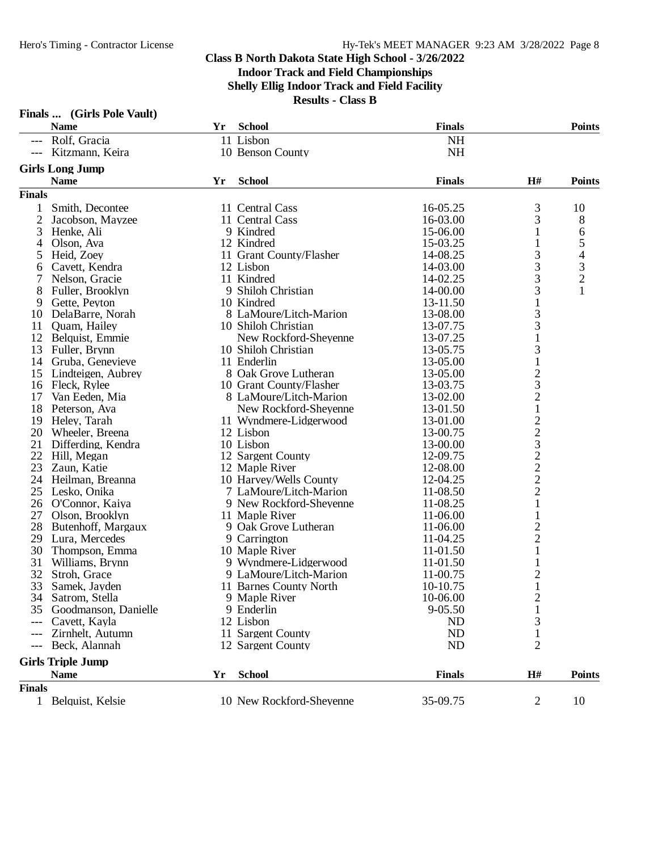|               | Finals  (Girls Pole Vault)                |    |                                      |                      |                                                |                     |
|---------------|-------------------------------------------|----|--------------------------------------|----------------------|------------------------------------------------|---------------------|
|               | <b>Name</b>                               | Yr | <b>School</b>                        | <b>Finals</b>        |                                                | <b>Points</b>       |
|               | --- Rolf, Gracia                          |    | 11 Lisbon                            | <b>NH</b>            |                                                |                     |
|               | --- Kitzmann, Keira                       |    | 10 Benson County                     | NH                   |                                                |                     |
|               | <b>Girls Long Jump</b>                    |    |                                      |                      |                                                |                     |
|               | <b>Name</b>                               | Yr | <b>School</b>                        | <b>Finals</b>        | H#                                             | <b>Points</b>       |
| <b>Finals</b> |                                           |    |                                      |                      |                                                |                     |
|               |                                           |    |                                      |                      |                                                |                     |
| $\mathbf 1$   | Smith, Decontee                           |    | 11 Central Cass                      | 16-05.25             | 3                                              | 10                  |
| 2             | Jacobson, Mayzee                          |    | 11 Central Cass                      | 16-03.00             | 3                                              | 8                   |
| 3             | Henke, Ali                                |    | 9 Kindred                            | 15-06.00             | 1                                              | 6                   |
| 4             | Olson, Ava                                |    | 12 Kindred                           | 15-03.25             | 1                                              | 5<br>$\overline{4}$ |
| 5             | Heid, Zoey                                |    | 11 Grant County/Flasher              | 14-08.25             | 3                                              |                     |
| 6             | Cavett, Kendra<br>Nelson, Gracie          |    | 12 Lisbon<br>11 Kindred              | 14-03.00<br>14-02.25 | 3<br>3                                         | $\frac{3}{2}$       |
| 7             |                                           |    |                                      |                      |                                                | $\mathbf{1}$        |
| 8             | Fuller, Brooklyn                          |    | 9 Shiloh Christian                   | 14-00.00             | 3                                              |                     |
| 9             | Gette, Peyton                             |    | 10 Kindred<br>8 LaMoure/Litch-Marion | 13-11.50             | $\mathbf{1}$                                   |                     |
| 10            | DelaBarre, Norah<br>Quam, Hailey          |    | 10 Shiloh Christian                  | 13-08.00             | 3<br>3                                         |                     |
| 11            |                                           |    | New Rockford-Sheyenne                | 13-07.75             | $\mathbf{1}$                                   |                     |
|               | 12 Belquist, Emmie<br>13 Fuller, Brynn    |    | 10 Shiloh Christian                  | 13-07.25<br>13-05.75 | 3                                              |                     |
|               |                                           |    | 11 Enderlin                          | 13-05.00             |                                                |                     |
| 15            | 14 Gruba, Genevieve<br>Lindteigen, Aubrey |    | 8 Oak Grove Lutheran                 | 13-05.00             | $\mathbf{1}$                                   |                     |
|               | 16 Fleck, Rylee                           |    | 10 Grant County/Flasher              | 13-03.75             | $\overline{\mathbf{c}}$<br>3                   |                     |
| 17            | Van Eeden, Mia                            |    | 8 LaMoure/Litch-Marion               | 13-02.00             | $\overline{c}$                                 |                     |
| 18            | Peterson, Ava                             |    | New Rockford-Sheyenne                | 13-01.50             | $\mathbf 1$                                    |                     |
|               | 19 Heley, Tarah                           |    | 11 Wyndmere-Lidgerwood               | 13-01.00             | $\overline{c}$                                 |                     |
|               | 20 Wheeler, Breena                        |    | 12 Lisbon                            | 13-00.75             |                                                |                     |
| 21            | Differding, Kendra                        |    | 10 Lisbon                            | 13-00.00             |                                                |                     |
| 22            | Hill, Megan                               |    | 12 Sargent County                    | 12-09.75             |                                                |                     |
| 23            | Zaun, Katie                               |    | 12 Maple River                       | 12-08.00             | $\begin{array}{c}\n23 \\ 22 \\ 2\n\end{array}$ |                     |
|               | 24 Heilman, Breanna                       |    | 10 Harvey/Wells County               | 12-04.25             |                                                |                     |
|               | 25 Lesko, Onika                           |    | 7 LaMoure/Litch-Marion               | 11-08.50             | $\overline{c}$                                 |                     |
|               | 26 O'Connor, Kaiya                        |    | 9 New Rockford-Sheyenne              | 11-08.25             | $\mathbf{1}$                                   |                     |
| 27            | Olson, Brooklyn                           |    | 11 Maple River                       | 11-06.00             | 1                                              |                     |
|               | 28 Butenhoff, Margaux                     |    | 9 Oak Grove Lutheran                 | 11-06.00             | $\overline{c}$                                 |                     |
|               | 29 Lura, Mercedes                         |    | 9 Carrington                         | 11-04.25             | $\overline{c}$                                 |                     |
|               | 30 Thompson, Emma                         |    | 10 Maple River                       | 11-01.50             | $\mathbf 1$                                    |                     |
| 31            | Williams, Brynn                           |    | 9 Wyndmere-Lidgerwood                | 11-01.50             | $\mathbf{1}$                                   |                     |
| 32            | Stroh, Grace                              |    | 9 LaMoure/Litch-Marion               | 11-00.75             | $\overline{c}$                                 |                     |
|               | 33 Samek, Jayden                          |    | 11 Barnes County North               | 10-10.75             | $\mathbf{1}$                                   |                     |
|               | 34 Satrom, Stella                         |    | 9 Maple River                        | 10-06.00             | $\overline{c}$                                 |                     |
| 35            | Goodmanson, Danielle                      |    | 9 Enderlin                           | $9 - 05.50$          |                                                |                     |
|               | Cavett, Kayla                             |    | 12 Lisbon                            | <b>ND</b>            | 3                                              |                     |
|               | Zirnhelt, Autumn                          |    | 11 Sargent County                    | <b>ND</b>            | 1                                              |                     |
|               | Beck, Alannah                             |    | 12 Sargent County                    | N <sub>D</sub>       | $\overline{2}$                                 |                     |
|               |                                           |    |                                      |                      |                                                |                     |
|               | <b>Girls Triple Jump</b>                  |    |                                      |                      |                                                |                     |
|               | <b>Name</b>                               | Yr | <b>School</b>                        | <b>Finals</b>        | H#                                             | <b>Points</b>       |
| <b>Finals</b> |                                           |    |                                      |                      |                                                |                     |
|               | 1 Belquist, Kelsie                        |    | 10 New Rockford-Sheyenne             | 35-09.75             | $\overline{c}$                                 | 10                  |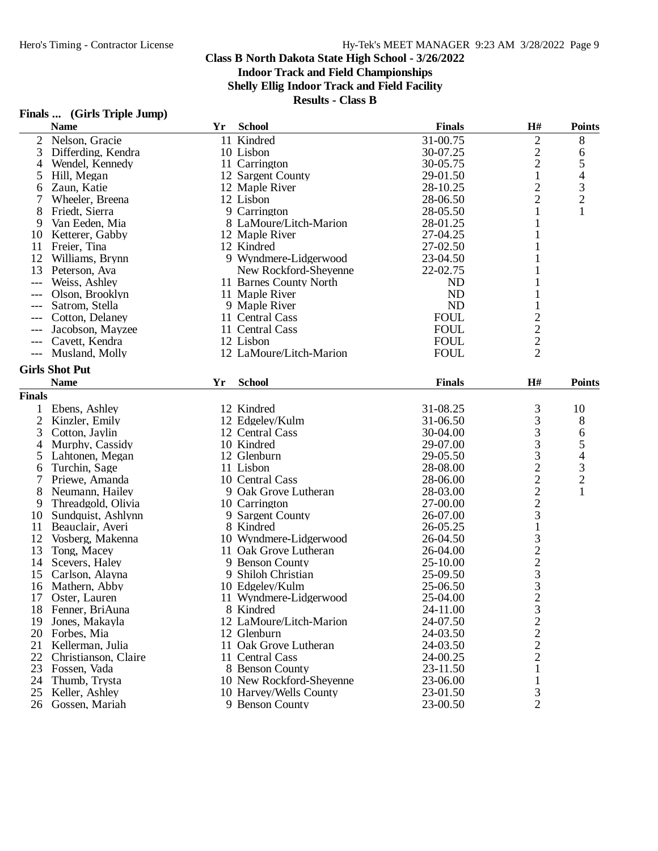**Indoor Track and Field Championships**

**Shelly Ellig Indoor Track and Field Facility**

| Finals  (Girls Triple Jump) |
|-----------------------------|
|                             |

|                     | <b>Name</b>           | Yr | <b>School</b>            | <b>Finals</b> | H#                                         | <b>Points</b>            |
|---------------------|-----------------------|----|--------------------------|---------------|--------------------------------------------|--------------------------|
| 2                   | Nelson, Gracie        |    | 11 Kindred               | 31-00.75      | $\overline{c}$                             | 8                        |
| 3                   | Differding, Kendra    |    | 10 Lisbon                | 30-07.25      | $\overline{c}$                             | 6                        |
| 4                   | Wendel, Kennedy       |    | 11 Carrington            | 30-05.75      | $\overline{c}$                             | 5                        |
| 5                   | Hill, Megan           |    | 12 Sargent County        | 29-01.50      | $\mathbf{1}$                               | 4                        |
| 6                   | Zaun, Katie           |    | 12 Maple River           | 28-10.25      | $\overline{c}$                             | 3                        |
| 7                   | Wheeler, Breena       |    | 12 Lisbon                | 28-06.50      | $\overline{2}$                             | $\overline{c}$           |
| 8                   | Friedt, Sierra        |    | 9 Carrington             | 28-05.50      | 1                                          | $\mathbf{1}$             |
| 9                   | Van Eeden, Mia        |    | 8 LaMoure/Litch-Marion   | 28-01.25      | 1                                          |                          |
| 10                  | Ketterer, Gabby       |    | 12 Maple River           | 27-04.25      | 1                                          |                          |
| 11                  | Freier, Tina          |    | 12 Kindred               | 27-02.50      | 1                                          |                          |
| 12                  | Williams, Brynn       |    | 9 Wyndmere-Lidgerwood    | 23-04.50      | 1                                          |                          |
| 13                  | Peterson, Ava         |    | New Rockford-Sheyenne    | 22-02.75      |                                            |                          |
| $---$               | Weiss, Ashley         |    | 11 Barnes County North   | <b>ND</b>     |                                            |                          |
|                     | Olson, Brooklyn       |    | 11 Maple River           | <b>ND</b>     |                                            |                          |
| ---                 | Satrom, Stella        |    | 9 Maple River            | <b>ND</b>     |                                            |                          |
|                     | Cotton, Delaney       |    | 11 Central Cass          | ${\rm FOUL}$  |                                            |                          |
| $---$               |                       |    |                          | <b>FOUL</b>   | $\begin{array}{c} 2 \\ 2 \\ 2 \end{array}$ |                          |
|                     | Jacobson, Mayzee      |    | 11 Central Cass          |               |                                            |                          |
| $---$               | Cavett, Kendra        |    | 12 Lisbon                | <b>FOUL</b>   |                                            |                          |
| $\qquad \qquad - -$ | Musland, Molly        |    | 12 LaMoure/Litch-Marion  | <b>FOUL</b>   |                                            |                          |
|                     | <b>Girls Shot Put</b> |    |                          |               |                                            |                          |
|                     | <b>Name</b>           | Yr | <b>School</b>            | <b>Finals</b> | H#                                         | <b>Points</b>            |
| <b>Finals</b>       |                       |    |                          |               |                                            |                          |
| 1                   | Ebens, Ashley         |    | 12 Kindred               | 31-08.25      |                                            | 10                       |
| $\overline{2}$      | Kinzler, Emily        |    | 12 Edgeley/Kulm          | 31-06.50      |                                            | 8                        |
| 3                   | Cotton, Jaylin        |    | 12 Central Cass          | 30-04.00      | 333322223                                  | 6                        |
| $\overline{4}$      | Murphy, Cassidy       |    | 10 Kindred               | 29-07.00      |                                            | 5                        |
| 5                   | Lahtonen, Megan       |    | 12 Glenburn              | 29-05.50      |                                            | $\overline{\mathcal{L}}$ |
| 6                   | Turchin, Sage         |    | 11 Lisbon                | 28-08.00      |                                            |                          |
| 7                   | Priewe, Amanda        |    | 10 Central Cass          | 28-06.00      |                                            | $\frac{3}{2}$            |
| 8                   | Neumann, Hailey       |    | 9 Oak Grove Lutheran     | 28-03.00      |                                            | $\mathbf{1}$             |
| 9                   | Threadgold, Olivia    |    | 10 Carrington            | 27-00.00      |                                            |                          |
| 10                  | Sundquist, Ashlynn    |    | 9 Sargent County         | 26-07.00      |                                            |                          |
| 11                  | Beauclair, Averi      |    | 8 Kindred                | 26-05.25      |                                            |                          |
| 12                  |                       |    |                          |               | $\,1$                                      |                          |
|                     | Vosberg, Makenna      |    | 10 Wyndmere-Lidgerwood   | 26-04.50      |                                            |                          |
| 13                  | Tong, Macey           |    | 11 Oak Grove Lutheran    | 26-04.00      | $\frac{3}{2}$ $\frac{2}{3}$ $\frac{3}{3}$  |                          |
| 14                  | Scevers, Haley        |    | 9 Benson County          | 25-10.00      |                                            |                          |
| 15                  | Carlson, Alayna       |    | 9 Shiloh Christian       | 25-09.50      |                                            |                          |
| 16                  | Mathern, Abby         |    | 10 Edgeley/Kulm          | 25-06.50      |                                            |                          |
| 17                  | Oster, Lauren         |    | 11 Wyndmere-Lidgerwood   | 25-04.00      | $\overline{2}$                             |                          |
| 18                  | Fenner, BriAuna       |    | 8 Kindred                | 24-11.00      |                                            |                          |
| 19                  | Jones, Makayla        |    | 12 LaMoure/Litch-Marion  | 24-07.50      |                                            |                          |
| 20                  | Forbes, Mia           |    | 12 Glenburn              | 24-03.50      |                                            |                          |
| 21                  | Kellerman, Julia      |    | 11 Oak Grove Lutheran    | 24-03.50      | $\frac{3}{2}$<br>$\frac{2}{2}$             |                          |
| 22                  | Christianson, Claire  |    | 11 Central Cass          | 24-00.25      |                                            |                          |
| 23                  | Fossen, Vada          |    | 8 Benson County          | 23-11.50      | 1                                          |                          |
| 24                  | Thumb, Trysta         |    | 10 New Rockford-Sheyenne | 23-06.00      |                                            |                          |
| 25                  | Keller, Ashley        |    | 10 Harvey/Wells County   | 23-01.50      | 3                                          |                          |
| 26                  | Gossen, Mariah        |    | 9 Benson County          | 23-00.50      | $\overline{2}$                             |                          |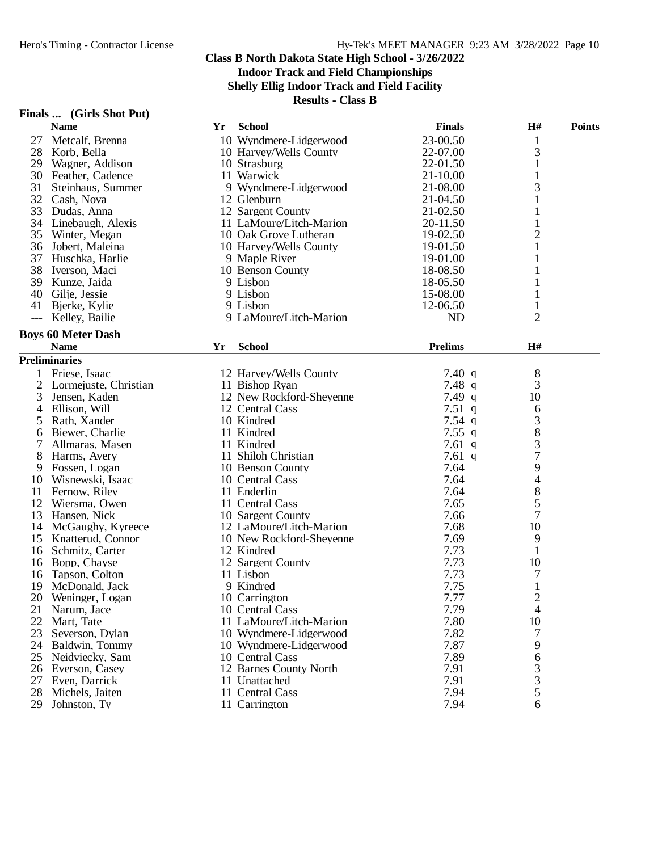**Shelly Ellig Indoor Track and Field Facility**

|                | Finals  (Girls Shot Put) |
|----------------|--------------------------|
| $\blacksquare$ |                          |

|       | Finals  (Girls Shot Put)  |    |                                    |                |                                            |               |
|-------|---------------------------|----|------------------------------------|----------------|--------------------------------------------|---------------|
|       | <b>Name</b>               | Yr | <b>School</b>                      | <b>Finals</b>  | H#                                         | <b>Points</b> |
| 27    | Metcalf, Brenna           |    | 10 Wyndmere-Lidgerwood             | 23-00.50       | $\mathbf{1}$                               |               |
| 28    | Korb, Bella               |    | 10 Harvey/Wells County             | 22-07.00       | 3                                          |               |
| 29    | Wagner, Addison           |    | 10 Strasburg                       | 22-01.50       | 1                                          |               |
|       | 30 Feather, Cadence       |    | 11 Warwick                         | $21 - 10.00$   | $\mathbf{1}$                               |               |
| 31    | Steinhaus, Summer         |    | 9 Wyndmere-Lidgerwood              | 21-08.00       | 3                                          |               |
|       | 32 Cash, Nova             |    | 12 Glenburn                        | 21-04.50       | 1                                          |               |
| 33    | Dudas, Anna               |    | 12 Sargent County                  | 21-02.50       |                                            |               |
|       | 34 Linebaugh, Alexis      |    | 11 LaMoure/Litch-Marion            | 20-11.50       |                                            |               |
| 35    | Winter, Megan             |    | 10 Oak Grove Lutheran              | 19-02.50       | 2                                          |               |
|       | 36 Jobert, Maleina        |    | 10 Harvey/Wells County             | 19-01.50       | 1                                          |               |
|       | 37 Huschka, Harlie        |    | 9 Maple River                      | 19-01.00       | 1                                          |               |
|       | 38 Iverson, Maci          |    | 10 Benson County                   | 18-08.50       |                                            |               |
|       | 39 Kunze, Jaida           |    | 9 Lisbon                           | 18-05.50       |                                            |               |
|       |                           |    | 9 Lisbon                           | 15-08.00       |                                            |               |
| 40    | Gilje, Jessie             |    |                                    |                |                                            |               |
| 41    | Bjerke, Kylie             |    | 9 Lisbon<br>9 LaMoure/Litch-Marion | 12-06.50       |                                            |               |
| $---$ | Kelley, Bailie            |    |                                    | <b>ND</b>      | $\overline{2}$                             |               |
|       | <b>Boys 60 Meter Dash</b> |    |                                    |                |                                            |               |
|       | <b>Name</b>               | Yr | <b>School</b>                      | <b>Prelims</b> | H#                                         |               |
|       | <b>Preliminaries</b>      |    |                                    |                |                                            |               |
|       | 1 Friese, Isaac           |    | 12 Harvey/Wells County             | 7.40 q         | 8                                          |               |
| 2     | Lormejuste, Christian     |    | 11 Bishop Ryan                     | 7.48q          | 3                                          |               |
| 3     | Jensen, Kaden             |    | 12 New Rockford-Sheyenne           | 7.49 $q$       | 10                                         |               |
| 4     | Ellison, Will             |    | 12 Central Cass                    | 7.51q          | 6                                          |               |
| 5     | Rath, Xander              |    | 10 Kindred                         | 7.54 $q$       | 3                                          |               |
| 6     | Biewer, Charlie           |    | 11 Kindred                         | 7.55 $q$       | 8                                          |               |
| 7     | Allmaras, Masen           |    | 11 Kindred                         | 7.61 $q$       | 3                                          |               |
| 8     | Harms, Avery              |    | 11 Shiloh Christian                | 7.61 $q$       | $\overline{7}$                             |               |
| 9     | Fossen, Logan             |    | 10 Benson County                   | 7.64           | 9                                          |               |
| 10    | Wisnewski, Isaac          |    | 10 Central Cass                    | 7.64           | 4                                          |               |
| 11    | Fernow, Riley             |    | 11 Enderlin                        | 7.64           | 8                                          |               |
| 12    | Wiersma, Owen             |    | 11 Central Cass                    | 7.65           | 5                                          |               |
| 13    | Hansen, Nick              |    | 10 Sargent County                  | 7.66           | $\tau$                                     |               |
|       | 14 McGaughy, Kyreece      |    | 12 LaMoure/Litch-Marion            | 7.68           | 10                                         |               |
|       | 15 Knatterud, Connor      |    | 10 New Rockford-Sheyenne           | 7.69           | 9                                          |               |
|       | 16 Schmitz, Carter        |    | 12 Kindred                         | 7.73           | $\mathbf{1}$                               |               |
| 16    | Bopp, Chayse              |    | 12 Sargent County                  | 7.73           | 10                                         |               |
| 16    | Tapson, Colton            |    | 11 Lisbon                          | 7.73           | 7                                          |               |
| 19    | McDonald, Jack            |    | 9 Kindred                          | 7.75           | $\mathbf{1}$                               |               |
| 20    | Weninger, Logan           |    | 10 Carrington                      | 7.77           | $\overline{c}$                             |               |
| 21    | Narum, Jace               |    | 10 Central Cass                    | 7.79           | $\overline{\mathcal{A}}$                   |               |
| 22    | Mart, Tate                |    | 11 LaMoure/Litch-Marion            | 7.80           | 10                                         |               |
| 23    | Severson, Dylan           |    | 10 Wyndmere-Lidgerwood             | 7.82           | 7                                          |               |
|       | 24 Baldwin, Tommy         |    | 10 Wyndmere-Lidgerwood             | 7.87           | 9                                          |               |
| 25    | Neidviecky, Sam           |    | 10 Central Cass                    | 7.89           | $\sqrt{6}$                                 |               |
|       | 26 Everson, Casey         |    |                                    |                |                                            |               |
|       |                           |    | 12 Barnes County North             | 7.91           | $\begin{array}{c} 3 \\ 3 \\ 5 \end{array}$ |               |
| 27    | Even, Darrick             |    | 11 Unattached                      | 7.91           |                                            |               |
| 28    | Michels, Jaiten           |    | 11 Central Cass                    | 7.94           |                                            |               |
| 29    | Johnston, Ty              |    | 11 Carrington                      | 7.94           | 6                                          |               |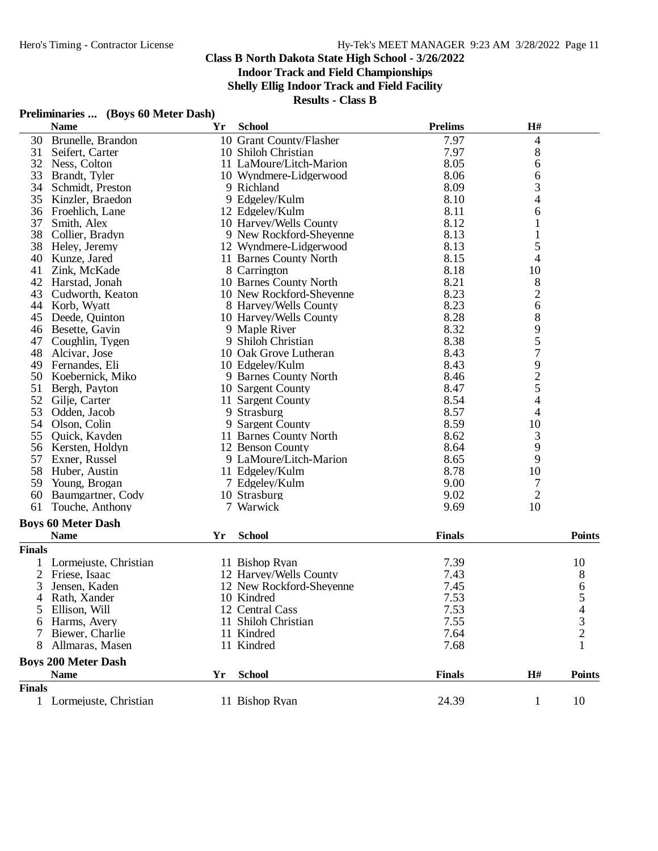**Indoor Track and Field Championships**

**Shelly Ellig Indoor Track and Field Facility**

**Results - Class B**

## **Preliminaries ... (Boys 60 Meter Dash)**

|                | <b>Name</b>                | Yr | <b>School</b>            | <b>Prelims</b> | H#                                         |               |
|----------------|----------------------------|----|--------------------------|----------------|--------------------------------------------|---------------|
| 30             | Brunelle, Brandon          |    | 10 Grant County/Flasher  | 7.97           | 4                                          |               |
| 31             | Seifert, Carter            |    | 10 Shiloh Christian      | 7.97           | 8                                          |               |
| 32             | Ness, Colton               |    | 11 LaMoure/Litch-Marion  | 8.05           | 6                                          |               |
| 33             | Brandt, Tyler              |    | 10 Wyndmere-Lidgerwood   | 8.06           | 6                                          |               |
| 34             | Schmidt, Preston           |    | 9 Richland               | 8.09           | 3                                          |               |
| 35             | Kinzler, Braedon           |    | 9 Edgeley/Kulm           | 8.10           | $\overline{\mathcal{L}}$                   |               |
| 36             | Froehlich, Lane            |    | 12 Edgeley/Kulm          | 8.11           | 6                                          |               |
| 37             | Smith, Alex                |    | 10 Harvey/Wells County   | 8.12           | $\mathbf{1}$                               |               |
| 38             | Collier, Bradyn            |    | 9 New Rockford-Sheyenne  | 8.13           |                                            |               |
| 38             | Heley, Jeremy              |    | 12 Wyndmere-Lidgerwood   | 8.13           | 5                                          |               |
| 40             | Kunze, Jared               |    | 11 Barnes County North   | 8.15           | 4                                          |               |
| 41             | Zink, McKade               |    | 8 Carrington             | 8.18           | 10                                         |               |
| 42             | Harstad, Jonah             |    | 10 Barnes County North   | 8.21           | $\,8\,$                                    |               |
| 43             | Cudworth, Keaton           |    | 10 New Rockford-Sheyenne | 8.23           | $\overline{c}$                             |               |
| 44             | Korb, Wyatt                |    | 8 Harvey/Wells County    | 8.23           | 6                                          |               |
| 45             | Deede, Quinton             |    | 10 Harvey/Wells County   | 8.28           | 8                                          |               |
| 46             | Besette, Gavin             |    | 9 Maple River            | 8.32           | 9                                          |               |
| 47             | Coughlin, Tygen            |    | 9 Shiloh Christian       | 8.38           | 5                                          |               |
| 48             | Alcivar, Jose              |    | 10 Oak Grove Lutheran    | 8.43           | $\overline{7}$                             |               |
| 49             | Fernandes, Eli             |    | 10 Edgeley/Kulm          | 8.43           |                                            |               |
| 50             | Koebernick, Miko           |    | 9 Barnes County North    | 8.46           |                                            |               |
| 51             | Bergh, Payton              |    | 10 Sargent County        | 8.47           | $\begin{array}{c} 9 \\ 2 \\ 5 \end{array}$ |               |
| 52             | Gilje, Carter              |    | 11 Sargent County        | 8.54           | $\overline{4}$                             |               |
| 53             | Odden, Jacob               |    | 9 Strasburg              | 8.57           | $\overline{4}$                             |               |
| 54             | Olson, Colin               |    | 9 Sargent County         | 8.59           | 10                                         |               |
| 55             | Quick, Kayden              |    | 11 Barnes County North   | 8.62           | $\mathfrak{Z}$                             |               |
| 56             | Kersten, Holdyn            |    | 12 Benson County         | 8.64           |                                            |               |
| 57             | Exner, Russel              |    | 9 LaMoure/Litch-Marion   | 8.65           | 9<br>9                                     |               |
| 58             | Huber, Austin              |    | 11 Edgeley/Kulm          | 8.78           | 10                                         |               |
| 59             | Young, Brogan              |    | 7 Edgeley/Kulm           | 9.00           | 7                                          |               |
| 60             | Baumgartner, Cody          |    | 10 Strasburg             | 9.02           | $\overline{c}$                             |               |
| 61             | Touche, Anthony            |    | 7 Warwick                | 9.69           | 10                                         |               |
|                |                            |    |                          |                |                                            |               |
|                | <b>Boys 60 Meter Dash</b>  |    |                          |                |                                            |               |
|                | <b>Name</b>                | Yr | <b>School</b>            | <b>Finals</b>  |                                            | Points        |
| <b>Finals</b>  |                            |    |                          |                |                                            |               |
|                | Lormejuste, Christian      |    | 11 Bishop Ryan           | 7.39           |                                            | 10            |
| 2              | Friese, Isaac              |    | 12 Harvey/Wells County   | 7.43           |                                            | 8             |
| 3              | Jensen, Kaden              |    | 12 New Rockford-Sheyenne | 7.45           |                                            | 6             |
| $\overline{4}$ | Rath, Xander               |    | 10 Kindred               | 7.53           |                                            | 5             |
| 5              | Ellison, Will              |    | 12 Central Cass          | 7.53           |                                            | 4             |
|                | Harms, Avery               |    | 11 Shiloh Christian      | 7.55           |                                            | 3             |
|                | Biewer, Charlie            |    | 11 Kindred               | 7.64           |                                            | 2             |
|                | Allmaras, Masen            |    | 11 Kindred               | 7.68           |                                            | 1             |
|                | <b>Boys 200 Meter Dash</b> |    |                          |                |                                            |               |
|                | <b>Name</b>                | Yr | <b>School</b>            | <b>Finals</b>  | H#                                         | <b>Points</b> |
| <b>Finals</b>  |                            |    |                          |                |                                            |               |
|                | 1 Lormejuste, Christian    |    | 11 Bishop Ryan           | 24.39          | 1                                          | 10            |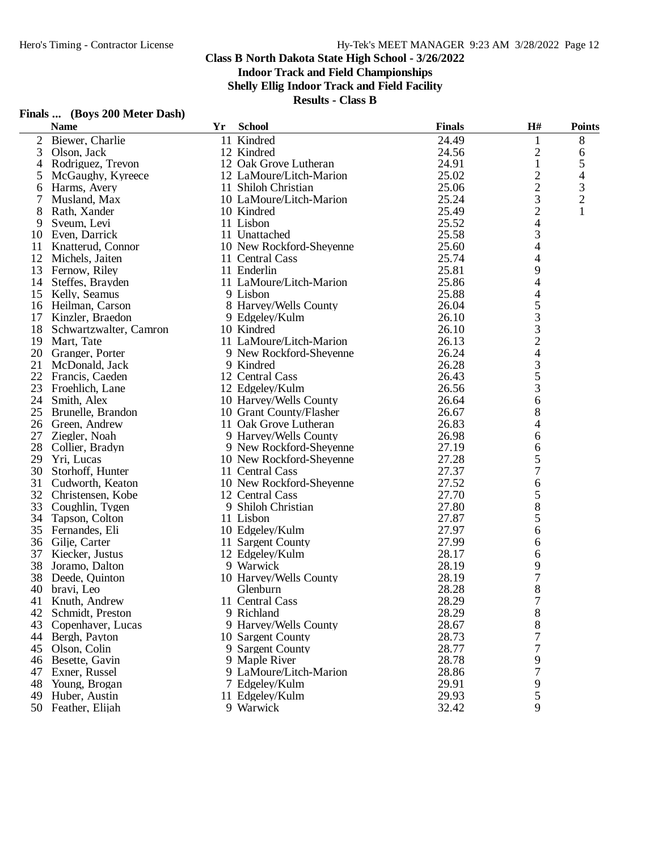**Indoor Track and Field Championships**

**Shelly Ellig Indoor Track and Field Facility**

**Results - Class B**

|                | <b>Name</b>            | <b>Yr</b> | <b>School</b>            | <b>Finals</b> | H#                       | <b>Points</b>  |
|----------------|------------------------|-----------|--------------------------|---------------|--------------------------|----------------|
| $\overline{2}$ | Biewer, Charlie        |           | 11 Kindred               | 24.49         | 1                        | $8\,$          |
| 3              | Olson, Jack            |           | 12 Kindred               | 24.56         | $\mathbf{2}$             | 6              |
| 4              | Rodriguez, Trevon      |           | 12 Oak Grove Lutheran    | 24.91         | $\mathbf{1}$             | $\mathfrak{S}$ |
| 5              | McGaughy, Kyreece      |           | 12 LaMoure/Litch-Marion  | 25.02         | $\overline{c}$           | 4              |
| 6              | Harms, Avery           |           | 11 Shiloh Christian      | 25.06         | $\overline{c}$           | 3              |
| 7              | Musland, Max           |           | 10 LaMoure/Litch-Marion  | 25.24         | 3                        | $\overline{c}$ |
| 8              | Rath, Xander           |           | 10 Kindred               | 25.49         | $\overline{c}$           | 1              |
| 9              | Sveum, Levi            |           | 11 Lisbon                | 25.52         | 4                        |                |
|                | 10 Even, Darrick       |           | 11 Unattached            | 25.58         | 3                        |                |
| 11             | Knatterud, Connor      |           | 10 New Rockford-Sheyenne | 25.60         | 4                        |                |
|                | 12 Michels, Jaiten     |           | 11 Central Cass          | 25.74         | 4                        |                |
| 13             | Fernow, Riley          |           | 11 Enderlin              | 25.81         | 9                        |                |
| 14             | Steffes, Brayden       |           | 11 LaMoure/Litch-Marion  | 25.86         | 4                        |                |
| 15             | Kelly, Seamus          |           | 9 Lisbon                 | 25.88         | 4                        |                |
| 16             | Heilman, Carson        |           | 8 Harvey/Wells County    | 26.04         | 5                        |                |
| 17             | Kinzler, Braedon       |           | 9 Edgeley/Kulm           | 26.10         | 3                        |                |
| 18             | Schwartzwalter, Camron |           | 10 Kindred               | 26.10         | 3                        |                |
| 19             | Mart, Tate             |           | 11 LaMoure/Litch-Marion  | 26.13         | $\overline{c}$           |                |
| 20             | Granger, Porter        |           | 9 New Rockford-Sheyenne  | 26.24         | $\overline{\mathcal{L}}$ |                |
| 21             | McDonald, Jack         |           | 9 Kindred                | 26.28         | 3                        |                |
| 22             | Francis, Caeden        |           | 12 Central Cass          | 26.43         | 5                        |                |
| 23             | Froehlich, Lane        |           | 12 Edgeley/Kulm          | 26.56         | 3                        |                |
| 24             | Smith, Alex            |           | 10 Harvey/Wells County   | 26.64         | 6                        |                |
| 25             | Brunelle, Brandon      |           | 10 Grant County/Flasher  | 26.67         | 8                        |                |
| 26             | Green, Andrew          |           | 11 Oak Grove Lutheran    | 26.83         | 4                        |                |
| 27             |                        |           | 9 Harvey/Wells County    | 26.98         |                          |                |
| 28             | Ziegler, Noah          |           |                          | 27.19         | 6                        |                |
| 29             | Collier, Bradyn        |           | 9 New Rockford-Sheyenne  | 27.28         | 6                        |                |
|                | Yri, Lucas             |           | 10 New Rockford-Sheyenne |               | 5                        |                |
| 30             | Storhoff, Hunter       |           | 11 Central Cass          | 27.37         | 7                        |                |
| 31             | Cudworth, Keaton       |           | 10 New Rockford-Sheyenne | 27.52         | 6                        |                |
| 32             | Christensen, Kobe      |           | 12 Central Cass          | 27.70         | 5                        |                |
| 33             | Coughlin, Tygen        |           | 9 Shiloh Christian       | 27.80         | 8                        |                |
| 34             | Tapson, Colton         |           | 11 Lisbon                | 27.87         | 5                        |                |
| 35             | Fernandes, Eli         |           | 10 Edgeley/Kulm          | 27.97         | 6                        |                |
|                | 36 Gilje, Carter       |           | 11 Sargent County        | 27.99         | 6                        |                |
| 37             | Kiecker, Justus        |           | 12 Edgeley/Kulm          | 28.17         | 6                        |                |
| 38             | Joramo, Dalton         |           | 9 Warwick                | 28.19         | 9                        |                |
| 38             | Deede, Quinton         |           | 10 Harvey/Wells County   | 28.19         | 7                        |                |
|                | 40 bravi, Leo          |           | Glenburn                 | 28.28         | 8                        |                |
|                | 41 Knuth, Andrew       |           | 11 Central Cass          | 28.29         | $\overline{7}$           |                |
| 42             | Schmidt, Preston       |           | 9 Richland               | 28.29         | 8                        |                |
| 43             | Copenhaver, Lucas      |           | 9 Harvey/Wells County    | 28.67         | 8                        |                |
| 44             | Bergh, Payton          |           | 10 Sargent County        | 28.73         | 7                        |                |
| 45             | Olson, Colin           |           | 9 Sargent County         | 28.77         | 7                        |                |
|                | 46 Besette, Gavin      |           | 9 Maple River            | 28.78         | 9                        |                |
| 47             | Exner, Russel          |           | 9 LaMoure/Litch-Marion   | 28.86         | 7                        |                |
| 48             | Young, Brogan          |           | 7 Edgeley/Kulm           | 29.91         | 9                        |                |
| 49             | Huber, Austin          |           | 11 Edgeley/Kulm          | 29.93         | 5                        |                |
|                | 50 Feather, Elijah     |           | 9 Warwick                | 32.42         | 9                        |                |

## **Finals ... (Boys 200 Meter Dash)**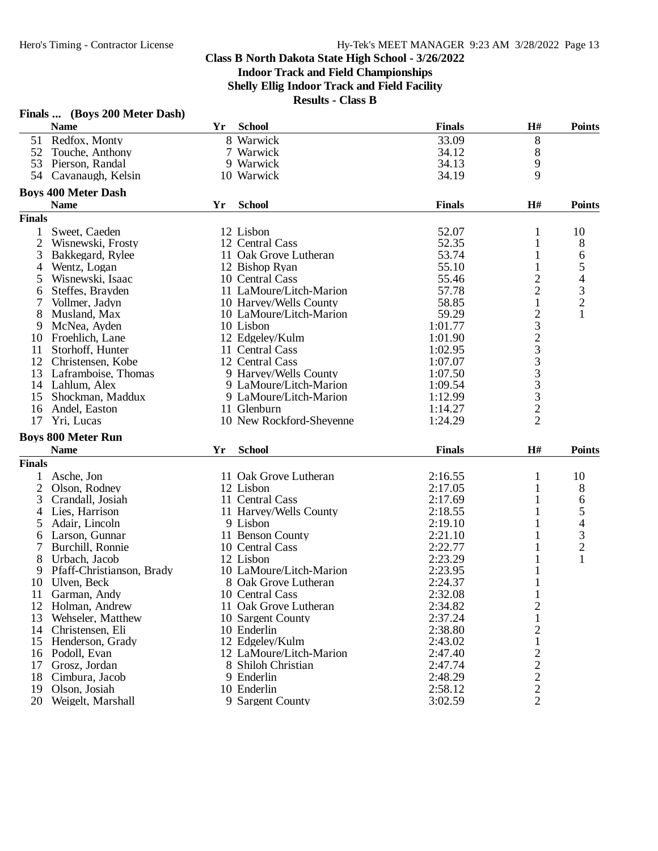**Finals ... (Boys 200 Meter Dash)**

## **Class B North Dakota State High School - 3/26/2022 Indoor Track and Field Championships Shelly Ellig Indoor Track and Field Facility**

|                | <b>Name</b>                | Yr | <b>School</b>            | <b>Finals</b> | H#                                              | <b>Points</b>  |
|----------------|----------------------------|----|--------------------------|---------------|-------------------------------------------------|----------------|
|                | 51 Redfox, Monty           |    | 8 Warwick                | 33.09         | $8\,$                                           |                |
|                | 52 Touche, Anthony         |    | 7 Warwick                | 34.12         | 8                                               |                |
|                | 53 Pierson, Randal         |    | 9 Warwick                | 34.13         | 9                                               |                |
|                | 54 Cavanaugh, Kelsin       |    | 10 Warwick               | 34.19         | 9                                               |                |
|                | <b>Boys 400 Meter Dash</b> |    |                          |               |                                                 |                |
|                |                            | Yr | <b>School</b>            | <b>Finals</b> | H#                                              |                |
|                | <b>Name</b>                |    |                          |               |                                                 | <b>Points</b>  |
| <b>Finals</b>  |                            |    |                          |               |                                                 |                |
| $\mathbf{1}$   | Sweet, Caeden              |    | 12 Lisbon                | 52.07         | 1                                               | 10             |
| $\overline{2}$ | Wisnewski, Frosty          |    | 12 Central Cass          | 52.35         | 1                                               | 8              |
| 3              | Bakkegard, Rylee           |    | 11 Oak Grove Lutheran    | 53.74         | 1                                               | 6              |
| 4              | Wentz, Logan               |    | 12 Bishop Ryan           | 55.10         |                                                 | 5              |
| 5              | Wisnewski, Isaac           |    | 10 Central Cass          | 55.46         | $\overline{c}$                                  | $\overline{4}$ |
| 6              | Steffes, Brayden           |    | 11 LaMoure/Litch-Marion  | 57.78         | $\overline{c}$                                  | $\frac{3}{2}$  |
| 7              | Vollmer, Jadyn             |    | 10 Harvey/Wells County   | 58.85         | 1                                               |                |
| 8              | Musland, Max               |    | 10 LaMoure/Litch-Marion  | 59.29         |                                                 | 1              |
| 9              | McNea, Ayden               |    | 10 Lisbon                | 1:01.77       |                                                 |                |
| 10             | Froehlich, Lane            |    | 12 Edgelev/Kulm          | 1:01.90       |                                                 |                |
| 11             | Storhoff, Hunter           |    | 11 Central Cass          | 1:02.95       |                                                 |                |
| 12             | Christensen, Kobe          |    | 12 Central Cass          | 1:07.07       | $\frac{2}{3}$<br>$\frac{2}{3}$<br>$\frac{3}{3}$ |                |
|                | 13 Laframboise, Thomas     |    | 9 Harvey/Wells County    | 1:07.50       |                                                 |                |
|                | 14 Lahlum, Alex            |    | 9 LaMoure/Litch-Marion   | 1:09.54       |                                                 |                |
| 15             | Shockman, Maddux           |    | 9 LaMoure/Litch-Marion   | 1:12.99       |                                                 |                |
| 16             | Andel, Easton              |    | 11 Glenburn              | 1:14.27       |                                                 |                |
| 17             | Yri, Lucas                 |    | 10 New Rockford-Sheyenne | 1:24.29       | $\begin{array}{c} 3 \\ 3 \\ 2 \\ 2 \end{array}$ |                |
|                |                            |    |                          |               |                                                 |                |
|                | <b>Boys 800 Meter Run</b>  |    |                          |               |                                                 |                |
|                | <b>Name</b>                | Yr | <b>School</b>            | <b>Finals</b> | H#                                              | <b>Points</b>  |
| <b>Finals</b>  |                            |    |                          |               |                                                 |                |
|                | 1 Asche, Jon               |    | 11 Oak Grove Lutheran    | 2:16.55       | 1                                               | 10             |
| $\overline{2}$ | Olson, Rodney              |    | 12 Lisbon                | 2:17.05       | 1                                               | 8              |
| 3              | Crandall, Josiah           |    | 11 Central Cass          | 2:17.69       |                                                 | 6              |
| 4              | Lies, Harrison             |    | 11 Harvey/Wells County   | 2:18.55       |                                                 | 5              |
| 5              | Adair, Lincoln             |    | 9 Lisbon                 | 2:19.10       | 1                                               | $\overline{4}$ |
| 6              | Larson, Gunnar             |    | 11 Benson County         | 2:21.10       |                                                 | 3              |
|                | Burchill, Ronnie           |    | 10 Central Cass          | 2:22.77       |                                                 | $\overline{c}$ |
| 8              | Urbach, Jacob              |    | 12 Lisbon                | 2:23.29       |                                                 | 1              |
| 9              | Pfaff-Christianson, Brady  |    | 10 LaMoure/Litch-Marion  | 2:23.95       |                                                 |                |
| 10             | Ulven, Beck                |    | 8 Oak Grove Lutheran     | 2:24.37       |                                                 |                |
| 11             | Garman, Andy               |    | 10 Central Cass          | 2:32.08       | 1                                               |                |
|                | 12 Holman, Andrew          |    | 11 Oak Grove Lutheran    | 2:34.82       | $\sqrt{2}$                                      |                |
| 13             | Wehseler, Matthew          |    | 10 Sargent County        | 2:37.24       | $\mathbf{1}$                                    |                |
|                | 14 Christensen, Eli        |    | 10 Enderlin              | 2:38.80       | $\overline{\mathbf{c}}$                         |                |
|                | 15 Henderson, Grady        |    | 12 Edgeley/Kulm          | 2:43.02       | 1                                               |                |
|                | 16 Podoll, Evan            |    | 12 LaMoure/Litch-Marion  | 2:47.40       | $\overline{c}$                                  |                |
| 17             | Grosz, Jordan              |    | 8 Shiloh Christian       | 2:47.74       |                                                 |                |
| 18             | Cimbura, Jacob             |    | 9 Enderlin               | 2:48.29       | $\frac{2}{2}$                                   |                |
| 19             | Olson, Josiah              |    | 10 Enderlin              | 2:58.12       | $\sqrt{2}$                                      |                |
| 20             | Weigelt, Marshall          |    | 9 Sargent County         | 3:02.59       | $\overline{2}$                                  |                |
|                |                            |    |                          |               |                                                 |                |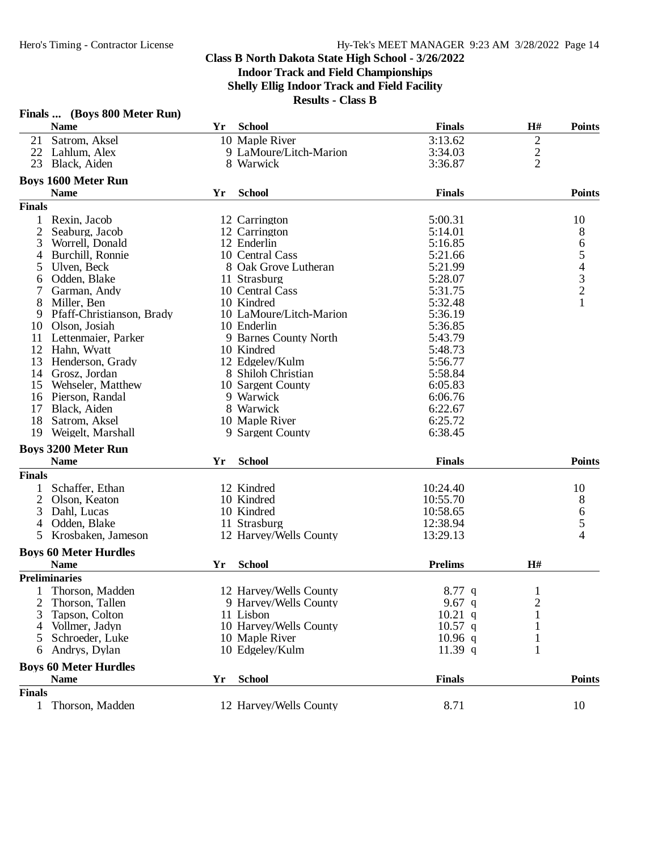|               | Finals  (Boys 800 Meter Run) |    |                         |                |                |                                            |
|---------------|------------------------------|----|-------------------------|----------------|----------------|--------------------------------------------|
|               | <b>Name</b>                  | Yr | <b>School</b>           | <b>Finals</b>  | H#             | <b>Points</b>                              |
| 21            | Satrom, Aksel                |    | 10 Maple River          | 3:13.62        | 2              |                                            |
| 22            | Lahlum, Alex                 |    | 9 LaMoure/Litch-Marion  | 3:34.03        |                |                                            |
| 23            | Black, Aiden                 |    | 8 Warwick               | 3:36.87        | $\frac{2}{2}$  |                                            |
|               | <b>Boys 1600 Meter Run</b>   |    |                         |                |                |                                            |
|               | <b>Name</b>                  | Yr | <b>School</b>           | <b>Finals</b>  |                | <b>Points</b>                              |
| <b>Finals</b> |                              |    |                         |                |                |                                            |
| $\mathbf{1}$  | Rexin, Jacob                 |    | 12 Carrington           | 5:00.31        |                | 10                                         |
| 2             | Seaburg, Jacob               |    | 12 Carrington           | 5:14.01        |                | 8                                          |
| 3             | Worrell, Donald              |    | 12 Enderlin             | 5:16.85        |                | 6                                          |
| 4             | Burchill, Ronnie             |    | 10 Central Cass         | 5:21.66        |                | 5                                          |
| 5             | Ulven, Beck                  |    | 8 Oak Grove Lutheran    | 5:21.99        |                |                                            |
| 6             | Odden, Blake                 |    | 11 Strasburg            | 5:28.07        |                |                                            |
|               | Garman, Andy                 |    | 10 Central Cass         | 5:31.75        |                | $\begin{array}{c} 4 \\ 3 \\ 2 \end{array}$ |
| 8             | Miller, Ben                  |    | 10 Kindred              | 5:32.48        |                |                                            |
| 9             | Pfaff-Christianson, Brady    |    | 10 LaMoure/Litch-Marion | 5:36.19        |                |                                            |
| 10            | Olson, Josiah                |    | 10 Enderlin             | 5:36.85        |                |                                            |
| 11            | Lettenmaier, Parker          |    | 9 Barnes County North   | 5:43.79        |                |                                            |
| 12            | Hahn, Wyatt                  |    | 10 Kindred              | 5:48.73        |                |                                            |
| 13            | Henderson, Grady             |    | 12 Edgelev/Kulm         | 5:56.77        |                |                                            |
| 14            | Grosz, Jordan                |    | 8 Shiloh Christian      | 5:58.84        |                |                                            |
| 15            | Wehseler, Matthew            |    | 10 Sargent County       | 6:05.83        |                |                                            |
| 16            | Pierson, Randal              |    | 9 Warwick               | 6:06.76        |                |                                            |
| 17            | Black, Aiden                 |    | 8 Warwick               | 6:22.67        |                |                                            |
| 18            | Satrom, Aksel                |    | 10 Maple River          | 6:25.72        |                |                                            |
| 19            | Weigelt, Marshall            |    | 9 Sargent County        | 6:38.45        |                |                                            |
|               | <b>Boys 3200 Meter Run</b>   |    |                         |                |                |                                            |
|               | <b>Name</b>                  | Yr | <b>School</b>           | <b>Finals</b>  |                | <b>Points</b>                              |
| <b>Finals</b> |                              |    |                         |                |                |                                            |
| 1             | Schaffer, Ethan              |    | 12 Kindred              | 10:24.40       |                | 10                                         |
| 2             | Olson, Keaton                |    | 10 Kindred              | 10:55.70       |                | 8                                          |
| 3             | Dahl, Lucas                  |    | 10 Kindred              | 10:58.65       |                | 6                                          |
| 4             | Odden, Blake                 |    | 11 Strasburg            | 12:38.94       |                | $\mathfrak s$                              |
| 5             | Krosbaken, Jameson           |    | 12 Harvey/Wells County  | 13:29.13       |                | 4                                          |
|               |                              |    |                         |                |                |                                            |
|               | <b>Boys 60 Meter Hurdles</b> |    |                         |                |                |                                            |
|               | <b>Name</b>                  | Yr | <b>School</b>           | <b>Prelims</b> | H#             |                                            |
|               | <b>Preliminaries</b>         |    |                         |                |                |                                            |
| 1             | Thorson, Madden              |    | 12 Harvey/Wells County  | 8.77 q         | $\mathbf{I}$   |                                            |
| 2             | Thorson, Tallen              |    | 9 Harvey/Wells County   | 9.67 q         | $\overline{2}$ |                                            |
| 3             | Tapson, Colton               |    | 11 Lisbon               | $10.21$ q      |                |                                            |
| 4             | Vollmer, Jadyn               |    | 10 Harvey/Wells County  | $10.57$ q      |                |                                            |
| 5             | Schroeder, Luke              |    | 10 Maple River          | $10.96$ q      | 1              |                                            |
| 6             | Andrys, Dylan                |    | 10 Edgeley/Kulm         | $11.39$ q      | 1              |                                            |
|               | <b>Boys 60 Meter Hurdles</b> |    |                         |                |                |                                            |
|               | <b>Name</b>                  | Yr | <b>School</b>           | <b>Finals</b>  |                | <b>Points</b>                              |
| <b>Finals</b> |                              |    |                         |                |                |                                            |
| $\mathbf{1}$  | Thorson, Madden              |    | 12 Harvey/Wells County  | 8.71           |                | 10                                         |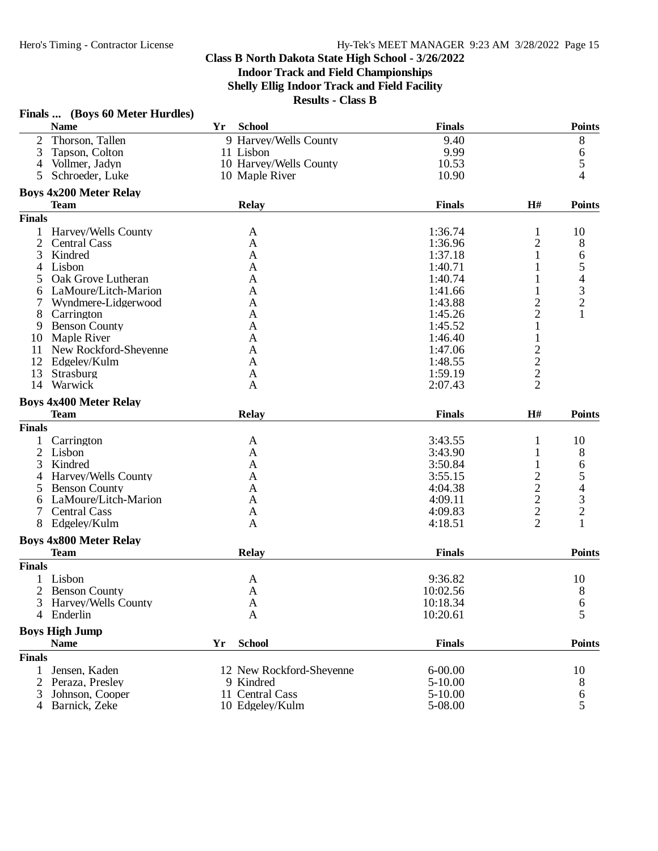|                | Finals  (Boys 60 Meter Hurdles) |    |                          |               |                                            |               |
|----------------|---------------------------------|----|--------------------------|---------------|--------------------------------------------|---------------|
|                | <b>Name</b>                     | Yr | School                   | <b>Finals</b> |                                            | <b>Points</b> |
| 2              | Thorson, Tallen                 |    | 9 Harvey/Wells County    | 9.40          |                                            | $8\,$         |
| 3              | Tapson, Colton                  |    | 11 Lisbon                | 9.99          |                                            | 6             |
| $\overline{4}$ | Vollmer, Jadyn                  |    | 10 Harvey/Wells County   | 10.53         |                                            | 5             |
| 5              | Schroeder, Luke                 |    | 10 Maple River           | 10.90         |                                            | 4             |
|                | <b>Boys 4x200 Meter Relay</b>   |    |                          |               |                                            |               |
|                | <b>Team</b>                     |    | <b>Relay</b>             | <b>Finals</b> | H#                                         | <b>Points</b> |
| <b>Finals</b>  |                                 |    |                          |               |                                            |               |
|                | 1 Harvey/Wells County           |    | A                        | 1:36.74       | $\mathbf{1}$                               | 10            |
| $\overline{2}$ | <b>Central Cass</b>             |    | A                        | 1:36.96       | $\overline{c}$                             | 8             |
| 3              | Kindred                         |    | A                        | 1:37.18       | 1                                          | 6             |
| 4              | Lisbon                          |    | A                        | 1:40.71       |                                            |               |
| 5              | Oak Grove Lutheran              |    | A                        | 1:40.74       |                                            | $\frac{5}{4}$ |
| 6              | LaMoure/Litch-Marion            |    | A                        | 1:41.66       | 1                                          |               |
| 7              | Wyndmere-Lidgerwood             |    | A                        | 1:43.88       | $\overline{c}$                             | $\frac{3}{2}$ |
| 8              | Carrington                      |    | A                        | 1:45.26       | $\overline{c}$                             | $\mathbf{1}$  |
| 9              | <b>Benson County</b>            |    | A                        | 1:45.52       | $\mathbf{1}$                               |               |
| 10             | Maple River                     |    | A                        | 1:46.40       | 1                                          |               |
| 11             | New Rockford-Sheyenne           |    | A                        | 1:47.06       |                                            |               |
| 12             | Edgeley/Kulm                    |    | A                        | 1:48.55       | $\frac{2}{2}$                              |               |
| 13             | Strasburg                       |    | A                        | 1:59.19       |                                            |               |
| 14             | Warwick                         |    | A                        | 2:07.43       | $\overline{2}$                             |               |
|                |                                 |    |                          |               |                                            |               |
|                | <b>Boys 4x400 Meter Relay</b>   |    |                          |               |                                            |               |
|                | <b>Team</b>                     |    | <b>Relay</b>             | <b>Finals</b> | H#                                         | <b>Points</b> |
| <b>Finals</b>  |                                 |    |                          |               |                                            |               |
| $\mathbf{1}$   | Carrington                      |    | A                        | 3:43.55       | 1                                          | 10            |
| 2              | Lisbon                          |    | A                        | 3:43.90       | 1                                          | 8             |
| 3              | Kindred                         |    | A                        | 3:50.84       | 1                                          | 6             |
| 4              | Harvey/Wells County             |    | A                        | 3:55.15       | $\begin{array}{c} 2 \\ 2 \\ 2 \end{array}$ | 5             |
| 5              | <b>Benson County</b>            |    | A                        | 4:04.38       |                                            | 4             |
| 6              | LaMoure/Litch-Marion            |    | A                        | 4:09.11       |                                            | $\frac{3}{2}$ |
| 7              | <b>Central Cass</b>             |    | A                        | 4:09.83       |                                            |               |
| 8              | Edgeley/Kulm                    |    | A                        | 4:18.51       | $\overline{2}$                             | $\mathbf{1}$  |
|                | <b>Boys 4x800 Meter Relay</b>   |    |                          |               |                                            |               |
|                | <b>Team</b>                     |    | <b>Relay</b>             | <b>Finals</b> |                                            | <b>Points</b> |
| <b>Finals</b>  |                                 |    |                          |               |                                            |               |
|                | 1 Lisbon                        |    | A                        | 9:36.82       |                                            | 10            |
|                | 2 Benson County                 |    | $\mathbf{A}$             | 10:02.56      |                                            | $8\,$         |
| 3              | Harvey/Wells County             |    | A                        | 10:18.34      |                                            | 6             |
| 4              | Enderlin                        |    | $\mathbf{A}$             | 10:20.61      |                                            | 5             |
|                | <b>Boys High Jump</b>           |    |                          |               |                                            |               |
|                | <b>Name</b>                     | Yr | <b>School</b>            | <b>Finals</b> |                                            | <b>Points</b> |
| <b>Finals</b>  |                                 |    |                          |               |                                            |               |
| 1              | Jensen, Kaden                   |    | 12 New Rockford-Sheyenne | $6 - 00.00$   |                                            | 10            |
| $\overline{2}$ | Peraza, Presley                 |    | 9 Kindred                | $5-10.00$     |                                            | 8             |
| 3              | Johnson, Cooper                 |    | 11 Central Cass          | $5 - 10.00$   |                                            | 6             |
|                | 4 Barnick, Zeke                 |    | 10 Edgeley/Kulm          | 5-08.00       |                                            | 5             |
|                |                                 |    |                          |               |                                            |               |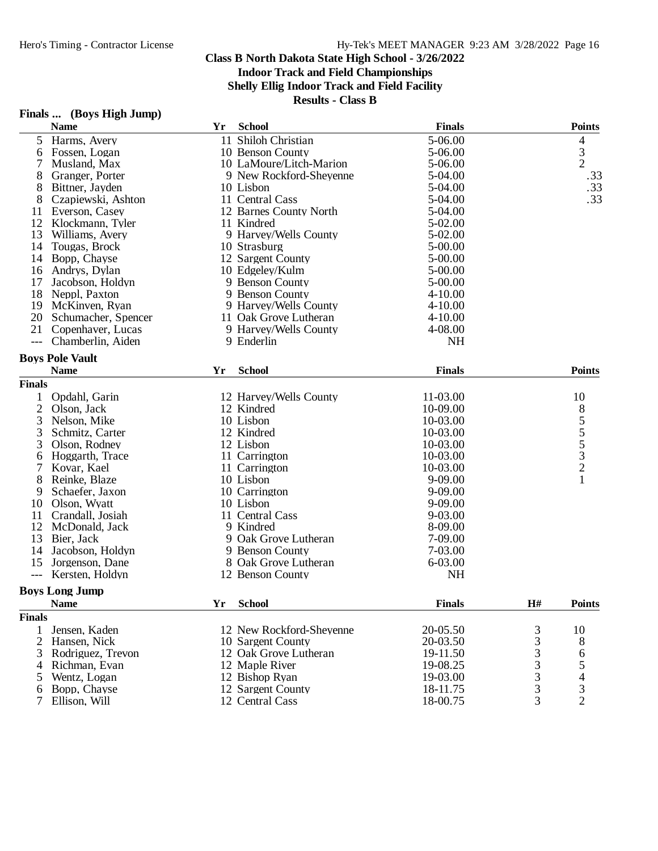**Shelly Ellig Indoor Track and Field Facility**

|                | Finals  (Boys High Jump) |    |                          |               |    |                 |
|----------------|--------------------------|----|--------------------------|---------------|----|-----------------|
|                | <b>Name</b>              | Yr | <b>School</b>            | <b>Finals</b> |    | <b>Points</b>   |
| 5              | Harms, Avery             | 11 | Shiloh Christian         | 5-06.00       |    | 4               |
| 6              | Fossen, Logan            |    | 10 Benson County         | 5-06.00       |    | $\frac{3}{2}$   |
|                | Musland, Max             |    | 10 LaMoure/Litch-Marion  | 5-06.00       |    |                 |
| 8              | Granger, Porter          |    | 9 New Rockford-Sheyenne  | 5-04.00       |    | .33             |
| 8              | Bittner, Jayden          |    | 10 Lisbon                | 5-04.00       |    | .33             |
| 8              | Czapiewski, Ashton       |    | 11 Central Cass          | 5-04.00       |    | .33             |
| 11             | Everson, Casey           |    | 12 Barnes County North   | 5-04.00       |    |                 |
| 12             | Klockmann, Tyler         |    | 11 Kindred               | 5-02.00       |    |                 |
| 13             | Williams, Avery          |    | 9 Harvey/Wells County    | 5-02.00       |    |                 |
| 14             | Tougas, Brock            |    | 10 Strasburg             | 5-00.00       |    |                 |
| 14             | Bopp, Chayse             |    | 12 Sargent County        | 5-00.00       |    |                 |
| 16             | Andrys, Dylan            |    | 10 Edgeley/Kulm          | 5-00.00       |    |                 |
| 17             | Jacobson, Holdyn         |    | 9 Benson County          | 5-00.00       |    |                 |
| 18             | Neppl, Paxton            |    | 9 Benson County          | $4 - 10.00$   |    |                 |
| 19             | McKinven, Ryan           |    | 9 Harvey/Wells County    | $4 - 10.00$   |    |                 |
| 20             | Schumacher, Spencer      |    | 11 Oak Grove Lutheran    | $4 - 10.00$   |    |                 |
| 21             | Copenhaver, Lucas        |    | 9 Harvey/Wells County    | 4-08.00       |    |                 |
| $---$          | Chamberlin, Aiden        |    | 9 Enderlin               | <b>NH</b>     |    |                 |
|                | <b>Boys Pole Vault</b>   |    |                          |               |    |                 |
|                | <b>Name</b>              | Yr | <b>School</b>            | <b>Finals</b> |    | <b>Points</b>   |
| <b>Finals</b>  |                          |    |                          |               |    |                 |
|                | Opdahl, Garin            |    | 12 Harvey/Wells County   | 11-03.00      |    | 10              |
| $\overline{2}$ | Olson, Jack              |    | 12 Kindred               | 10-09.00      |    |                 |
| 3              | Nelson, Mike             |    | 10 Lisbon                | 10-03.00      |    | $8555$<br>$532$ |
| 3              | Schmitz, Carter          |    | 12 Kindred               | 10-03.00      |    |                 |
| 3              | Olson, Rodney            |    | 12 Lisbon                | 10-03.00      |    |                 |
| 6              | Hoggarth, Trace          |    | 11 Carrington            | 10-03.00      |    |                 |
| 7              | Kovar, Kael              |    | 11 Carrington            | 10-03.00      |    |                 |
| 8              | Reinke, Blaze            |    | 10 Lisbon                | 9-09.00       |    | $\mathbf{1}$    |
| 9              | Schaefer, Jaxon          |    | 10 Carrington            | 9-09.00       |    |                 |
| 10             | Olson, Wyatt             |    | 10 Lisbon                | 9-09.00       |    |                 |
| 11             | Crandall, Josiah         |    | 11 Central Cass          | 9-03.00       |    |                 |
| 12             | McDonald, Jack           |    | 9 Kindred                | 8-09.00       |    |                 |
| 13             | Bier, Jack               |    | 9 Oak Grove Lutheran     | 7-09.00       |    |                 |
| 14             | Jacobson, Holdyn         |    | 9 Benson County          | 7-03.00       |    |                 |
| 15             | Jorgenson, Dane          |    | 8 Oak Grove Lutheran     | 6-03.00       |    |                 |
| $---$          | Kersten, Holdyn          |    | 12 Benson County         | <b>NH</b>     |    |                 |
|                | <b>Boys Long Jump</b>    |    |                          |               |    |                 |
|                | <b>Name</b>              | Yr | <b>School</b>            | <b>Finals</b> | H# | <b>Points</b>   |
| <b>Finals</b>  |                          |    |                          |               |    |                 |
| 1              | Jensen, Kaden            |    | 12 New Rockford-Sheyenne | 20-05.50      | 3  | 10              |
| $\overline{2}$ | Hansen, Nick             |    | 10 Sargent County        | 20-03.50      | 3  | 8               |
| 3              | Rodriguez, Trevon        |    | 12 Oak Grove Lutheran    | 19-11.50      | 3  | 6               |
| 4              | Richman, Evan            |    | 12 Maple River           | 19-08.25      | 3  |                 |
| 5              | Wentz, Logan             |    | 12 Bishop Ryan           | 19-03.00      | 3  | 5<br>4          |
| 6              | Bopp, Chayse             |    | 12 Sargent County        | 18-11.75      | 3  | 3               |
| 7              | Ellison, Will            |    | 12 Central Cass          | 18-00.75      | 3  | $\overline{2}$  |
|                |                          |    |                          |               |    |                 |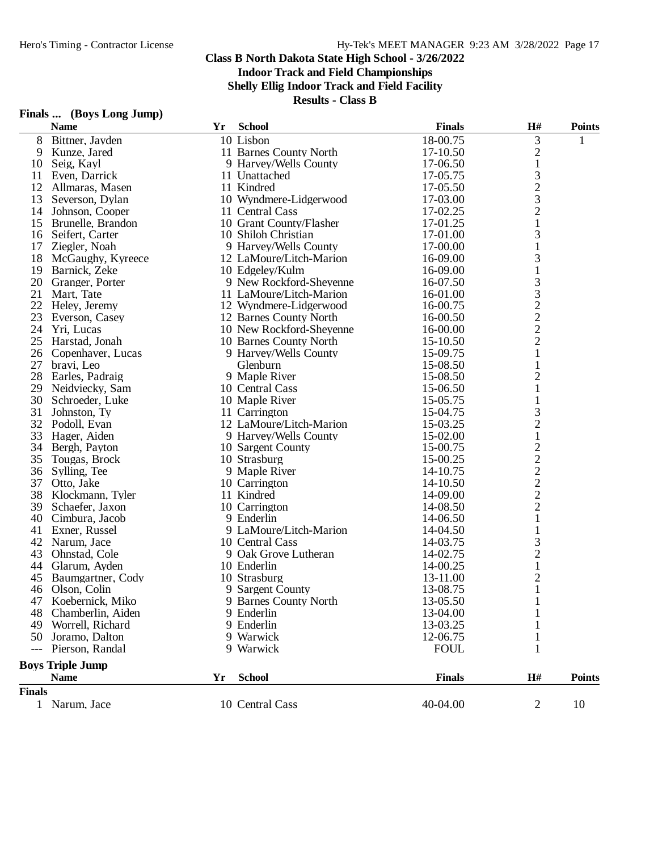**Indoor Track and Field Championships**

**Shelly Ellig Indoor Track and Field Facility**

| Finals | (Boys Long Jump) |  |
|--------|------------------|--|
|--------|------------------|--|

|               | <b>Name</b>             | Yr | <b>School</b>            | <b>Finals</b> | H#                                              | <b>Points</b> |
|---------------|-------------------------|----|--------------------------|---------------|-------------------------------------------------|---------------|
| 8             | Bittner, Jayden         |    | 10 Lisbon                | 18-00.75      | 3                                               | 1             |
| 9             | Kunze, Jared            |    | 11 Barnes County North   | 17-10.50      | $\overline{c}$                                  |               |
| 10            | Seig, Kayl              |    | 9 Harvey/Wells County    | 17-06.50      | $\mathbf{1}$                                    |               |
| 11            | Even, Darrick           |    | 11 Unattached            | 17-05.75      | 3                                               |               |
| 12            | Allmaras, Masen         |    | 11 Kindred               | 17-05.50      |                                                 |               |
| 13            | Severson, Dylan         |    | 10 Wyndmere-Lidgerwood   | 17-03.00      | $\frac{2}{3}$                                   |               |
| 14            | Johnson, Cooper         |    | 11 Central Cass          | 17-02.25      |                                                 |               |
| 15            | Brunelle, Brandon       |    | 10 Grant County/Flasher  | 17-01.25      | $\mathbf{1}$                                    |               |
| 16            | Seifert, Carter         |    | 10 Shiloh Christian      | 17-01.00      | 3                                               |               |
| 17            | Ziegler, Noah           |    | 9 Harvey/Wells County    | 17-00.00      | 1                                               |               |
| 18            | McGaughy, Kyreece       |    | 12 LaMoure/Litch-Marion  | 16-09.00      | 3                                               |               |
| 19            | Barnick, Zeke           |    | 10 Edgeley/Kulm          | 16-09.00      | $\mathbf{1}$                                    |               |
| 20            | Granger, Porter         |    | 9 New Rockford-Sheyenne  | 16-07.50      | 3                                               |               |
| 21            | Mart, Tate              |    | 11 LaMoure/Litch-Marion  | 16-01.00      |                                                 |               |
| 22            | Heley, Jeremy           |    | 12 Wyndmere-Lidgerwood   | 16-00.75      |                                                 |               |
| 23            | Everson, Casey          |    | 12 Barnes County North   | 16-00.50      |                                                 |               |
| 24            | Yri, Lucas              |    | 10 New Rockford-Sheyenne | 16-00.00      |                                                 |               |
| 25            | Harstad, Jonah          |    | 10 Barnes County North   | 15-10.50      | $\begin{array}{c} 3 \\ 2 \\ 2 \\ 2 \end{array}$ |               |
|               | 26 Copenhaver, Lucas    |    | 9 Harvey/Wells County    | 15-09.75      | $\mathbf{1}$                                    |               |
| 27            | bravi, Leo              |    | Glenburn                 | 15-08.50      | $\mathbf{1}$                                    |               |
| 28            | Earles, Padraig         |    | 9 Maple River            | 15-08.50      | $\overline{c}$                                  |               |
| 29            | Neidviecky, Sam         |    | 10 Central Cass          | 15-06.50      | $\mathbf{1}$                                    |               |
| 30            | Schroeder, Luke         |    | 10 Maple River           | 15-05.75      | 1                                               |               |
| 31            | Johnston, Ty            |    | 11 Carrington            | 15-04.75      | 3                                               |               |
| 32            | Podoll, Evan            |    | 12 LaMoure/Litch-Marion  | 15-03.25      | $\overline{c}$                                  |               |
| 33            | Hager, Aiden            |    | 9 Harvey/Wells County    | 15-02.00      | $\mathbf{1}$                                    |               |
| 34            | Bergh, Payton           |    | 10 Sargent County        | 15-00.75      |                                                 |               |
| 35            | Tougas, Brock           |    | 10 Strasburg             | 15-00.25      |                                                 |               |
| 36            | Sylling, Tee            |    | 9 Maple River            | 14-10.75      | $\frac{2}{2}$ $\frac{2}{2}$                     |               |
| 37            | Otto, Jake              |    | 10 Carrington            | 14-10.50      |                                                 |               |
| 38            | Klockmann, Tyler        |    | 11 Kindred               | 14-09.00      |                                                 |               |
| 39            | Schaefer, Jaxon         |    | 10 Carrington            | 14-08.50      | $\overline{c}$                                  |               |
| 40            | Cimbura, Jacob          |    | 9 Enderlin               | 14-06.50      | $\mathbf{1}$                                    |               |
| 41            | Exner, Russel           |    | 9 LaMoure/Litch-Marion   | 14-04.50      | 1                                               |               |
| 42            | Narum, Jace             |    | 10 Central Cass          | 14-03.75      | 3                                               |               |
| 43            | Ohnstad, Cole           |    | 9 Oak Grove Lutheran     | 14-02.75      | $\overline{c}$                                  |               |
| 44            | Glarum, Ayden           |    | 10 Enderlin              | 14-00.25      | $\mathbf 1$                                     |               |
| 45            | Baumgartner, Cody       |    | 10 Strasburg             | 13-11.00      | $\overline{\mathbf{c}}$                         |               |
| 46            | Olson, Colin            |    | 9 Sargent County         | 13-08.75      | $\,1$                                           |               |
| 47            | Koebernick, Miko        |    | 9 Barnes County North    | 13-05.50      | 1                                               |               |
| 48            | Chamberlin, Aiden       |    | 9 Enderlin               | 13-04.00      |                                                 |               |
| 49            | Worrell, Richard        |    | 9 Enderlin               | 13-03.25      |                                                 |               |
| 50.           | Joramo, Dalton          |    | 9 Warwick                | 12-06.75      |                                                 |               |
| $---$         | Pierson, Randal         |    | 9 Warwick                | <b>FOUL</b>   | 1                                               |               |
|               |                         |    |                          |               |                                                 |               |
|               | <b>Boys Triple Jump</b> |    |                          |               |                                                 |               |
|               | <b>Name</b>             | Yr | <b>School</b>            | <b>Finals</b> | H#                                              | <b>Points</b> |
| <b>Finals</b> |                         |    |                          |               |                                                 |               |
|               | 1 Narum, Jace           |    | 10 Central Cass          | 40-04.00      | $\overline{2}$                                  | 10            |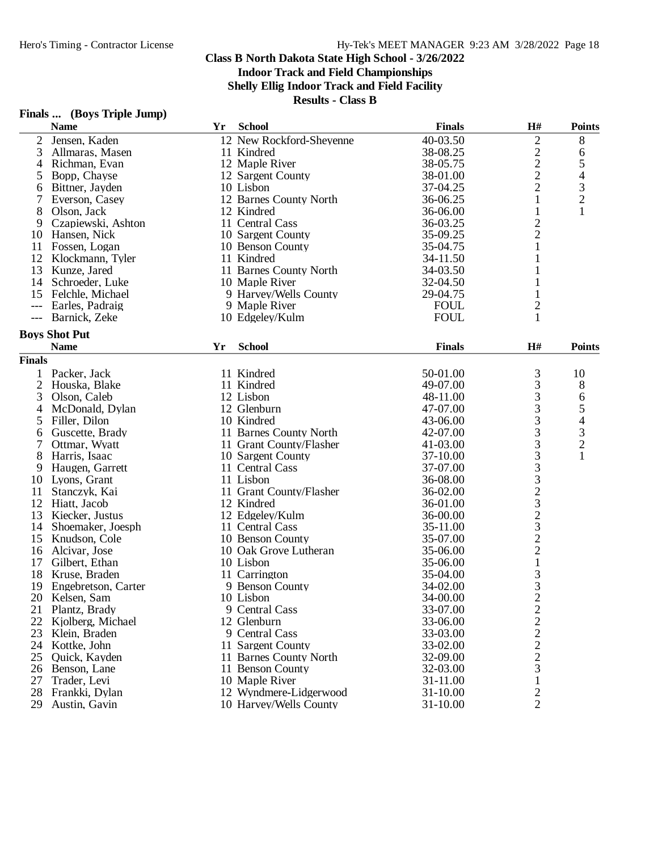**Indoor Track and Field Championships**

**Shelly Ellig Indoor Track and Field Facility**

| <b>Finals</b> |  |  | (Boys Triple Jump) |
|---------------|--|--|--------------------|
|---------------|--|--|--------------------|

|                     | <b>Name</b>          | Yr | <b>School</b>            | <b>Finals</b> | H#                                        | <b>Points</b>  |
|---------------------|----------------------|----|--------------------------|---------------|-------------------------------------------|----------------|
| $\overline{c}$      | Jensen, Kaden        |    | 12 New Rockford-Sheyenne | 40-03.50      | $\overline{c}$                            | 8              |
| 3                   | Allmaras, Masen      |    | 11 Kindred               | 38-08.25      |                                           | 6              |
| $\overline{4}$      | Richman, Evan        |    | 12 Maple River           | 38-05.75      | $\frac{2}{2}$                             | 5              |
| 5                   | Bopp, Chayse         |    | 12 Sargent County        | 38-01.00      | $\overline{c}$                            | 4              |
| 6                   | Bittner, Jayden      |    | 10 Lisbon                | 37-04.25      | $\overline{c}$                            |                |
| 7                   | Everson, Casey       |    | 12 Barnes County North   | 36-06.25      | $\mathbf{1}$                              | $\frac{3}{2}$  |
| 8                   | Olson, Jack          |    | 12 Kindred               | 36-06.00      | $\mathbf{1}$                              | $\mathbf{1}$   |
| 9                   | Czapiewski, Ashton   |    | 11 Central Cass          | 36-03.25      |                                           |                |
| 10                  | Hansen, Nick         |    | 10 Sargent County        | 35-09.25      | $\frac{2}{2}$                             |                |
| 11                  | Fossen, Logan        |    | 10 Benson County         | 35-04.75      | $\mathbf{1}$                              |                |
| 12                  | Klockmann, Tyler     |    | 11 Kindred               | 34-11.50      | 1                                         |                |
| 13                  | Kunze, Jared         |    | 11 Barnes County North   | 34-03.50      | 1                                         |                |
| 14                  | Schroeder, Luke      |    | 10 Maple River           | 32-04.50      |                                           |                |
| 15                  | Felchle, Michael     |    | 9 Harvey/Wells County    | 29-04.75      |                                           |                |
|                     |                      |    |                          | <b>FOUL</b>   |                                           |                |
| $\qquad \qquad - -$ | Earles, Padraig      |    | 9 Maple River            |               | $\overline{2}$                            |                |
| $---$               | Barnick, Zeke        |    | 10 Edgeley/Kulm          | <b>FOUL</b>   | $\mathbf{1}$                              |                |
|                     | <b>Boys Shot Put</b> |    |                          |               |                                           |                |
|                     | <b>Name</b>          | Yr | <b>School</b>            | <b>Finals</b> | H#                                        | <b>Points</b>  |
| <b>Finals</b>       |                      |    |                          |               |                                           |                |
| 1                   | Packer, Jack         |    | 11 Kindred               | 50-01.00      | 3                                         | 10             |
| $\mathfrak{2}$      | Houska, Blake        |    | 11 Kindred               | 49-07.00      | 3                                         | 8              |
| 3                   | Olson, Caleb         |    | 12 Lisbon                | 48-11.00      |                                           | 6              |
| 4                   | McDonald, Dylan      |    | 12 Glenburn              | 47-07.00      |                                           | 5              |
| 5                   | Filler, Dilon        |    | 10 Kindred               | 43-06.00      |                                           | $\overline{4}$ |
| 6                   | Guscette, Brady      |    | 11 Barnes County North   | 42-07.00      | 3333333232322                             |                |
| 7                   | Ottmar, Wyatt        |    | 11 Grant County/Flasher  | 41-03.00      |                                           | $\frac{3}{2}$  |
| 8                   | Harris, Isaac        |    | 10 Sargent County        | 37-10.00      |                                           | $\mathbf{1}$   |
| 9                   |                      |    | 11 Central Cass          | 37-07.00      |                                           |                |
| 10                  | Haugen, Garrett      |    | 11 Lisbon                | 36-08.00      |                                           |                |
| 11                  | Lyons, Grant         |    |                          |               |                                           |                |
|                     | Stanczyk, Kai        |    | 11 Grant County/Flasher  | 36-02.00      |                                           |                |
| 12                  | Hiatt, Jacob         |    | 12 Kindred               | 36-01.00      |                                           |                |
| 13                  | Kiecker, Justus      |    | 12 Edgeley/Kulm          | 36-00.00      |                                           |                |
| 14                  | Shoemaker, Joesph    |    | 11 Central Cass          | 35-11.00      |                                           |                |
| 15                  | Knudson, Cole        |    | 10 Benson County         | 35-07.00      |                                           |                |
| 16                  | Alcivar, Jose        |    | 10 Oak Grove Lutheran    | 35-06.00      |                                           |                |
| 17                  | Gilbert, Ethan       |    | 10 Lisbon                | 35-06.00      | $\mathbf{1}$                              |                |
| 18                  | Kruse, Braden        |    | 11 Carrington            | 35-04.00      | $\frac{3}{3}$                             |                |
| 19                  | Engebretson, Carter  |    | 9 Benson County          | 34-02.00      |                                           |                |
| 20                  | Kelsen, Sam          |    | 10 Lisbon                | 34-00.00      | $\overline{2}$                            |                |
| 21                  | Plantz, Brady        |    | 9 Central Cass           | 33-07.00      |                                           |                |
| 22                  | Kjolberg, Michael    |    | 12 Glenburn              | 33-06.00      |                                           |                |
| 23                  | Klein, Braden        |    | 9 Central Cass           | 33-03.00      |                                           |                |
| 24                  | Kottke, John         |    | 11 Sargent County        | 33-02.00      |                                           |                |
| 25                  | Quick, Kayden        |    | 11 Barnes County North   | 32-09.00      |                                           |                |
| 26                  | Benson, Lane         |    | 11 Benson County         | 32-03.00      | $\frac{2}{2}$ $\frac{2}{2}$ $\frac{2}{3}$ |                |
| 27                  | Trader, Levi         |    | 10 Maple River           | 31-11.00      | $\mathbf{1}$                              |                |
| 28                  | Frankki, Dylan       |    | 12 Wyndmere-Lidgerwood   | $31 - 10.00$  | $\overline{c}$                            |                |
| 29                  | Austin, Gavin        |    | 10 Harvey/Wells County   | 31-10.00      | $\overline{2}$                            |                |